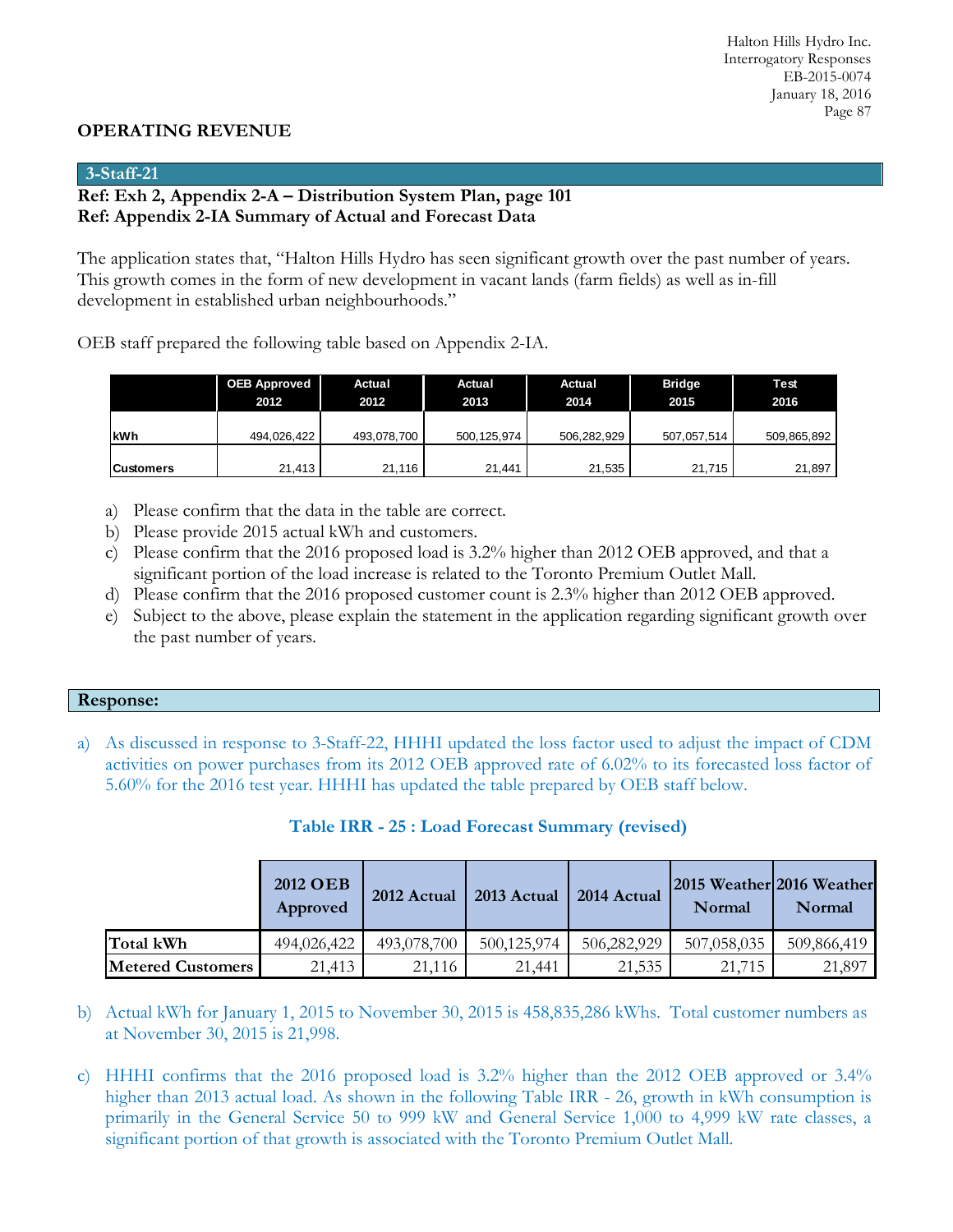### **OPERATING REVENUE**

### **3-Staff-21**

### **Ref: Exh 2, Appendix 2-A – Distribution System Plan, page 101 Ref: Appendix 2-IA Summary of Actual and Forecast Data**

The application states that, "Halton Hills Hydro has seen significant growth over the past number of years. This growth comes in the form of new development in vacant lands (farm fields) as well as in-fill development in established urban neighbourhoods."

OEB staff prepared the following table based on Appendix 2-IA.

|            | <b>OEB Approved</b><br>2012 | Actual<br>2012 | Actual<br>2013 | Actual<br>2014 | <b>Bridge</b><br>2015 | Test<br>2016 |
|------------|-----------------------------|----------------|----------------|----------------|-----------------------|--------------|
|            |                             |                |                |                |                       |              |
| lkWh       | 494,026,422                 | 493,078,700    | 500,125,974    | 506,282,929    | 507,057,514           | 509,865,892  |
|            |                             |                |                |                |                       |              |
| lCustomers | 21,413                      | 21,116         | 21.441         | 21,535         | 21.715                | 21,897       |

- a) Please confirm that the data in the table are correct.
- b) Please provide 2015 actual kWh and customers.
- c) Please confirm that the 2016 proposed load is 3.2% higher than 2012 OEB approved, and that a significant portion of the load increase is related to the Toronto Premium Outlet Mall.
- d) Please confirm that the 2016 proposed customer count is 2.3% higher than 2012 OEB approved.
- e) Subject to the above, please explain the statement in the application regarding significant growth over the past number of years.

### **Response:**

a) As discussed in response to 3-Staff-22, HHHI updated the loss factor used to adjust the impact of CDM activities on power purchases from its 2012 OEB approved rate of 6.02% to its forecasted loss factor of 5.60% for the 2016 test year. HHHI has updated the table prepared by OEB staff below.

|                          | 2012 OEB<br>Approved | 2012 Actual | 2013 Actual | 2014 Actual | 2015 Weather 2016 Weather<br>Normal | Normal      |
|--------------------------|----------------------|-------------|-------------|-------------|-------------------------------------|-------------|
| Total kWh                | 494,026,422          | 493,078,700 | 500,125,974 | 506,282,929 | 507,058,035                         | 509,866,419 |
| <b>Metered Customers</b> | 21,413               | 21,116      | 21,441      | 21,535      | 21,715                              | 21,897      |

|  |  | Table IRR - 25 : Load Forecast Summary (revised) |  |  |
|--|--|--------------------------------------------------|--|--|
|--|--|--------------------------------------------------|--|--|

- b) Actual kWh for January 1, 2015 to November 30, 2015 is 458,835,286 kWhs. Total customer numbers as at November 30, 2015 is 21,998.
- c) HHHI confirms that the 2016 proposed load is 3.2% higher than the 2012 OEB approved or 3.4% higher than 2013 actual load. As shown in the following Table IRR - 26, growth in kWh consumption is primarily in the General Service 50 to 999 kW and General Service 1,000 to 4,999 kW rate classes, a significant portion of that growth is associated with the Toronto Premium Outlet Mall.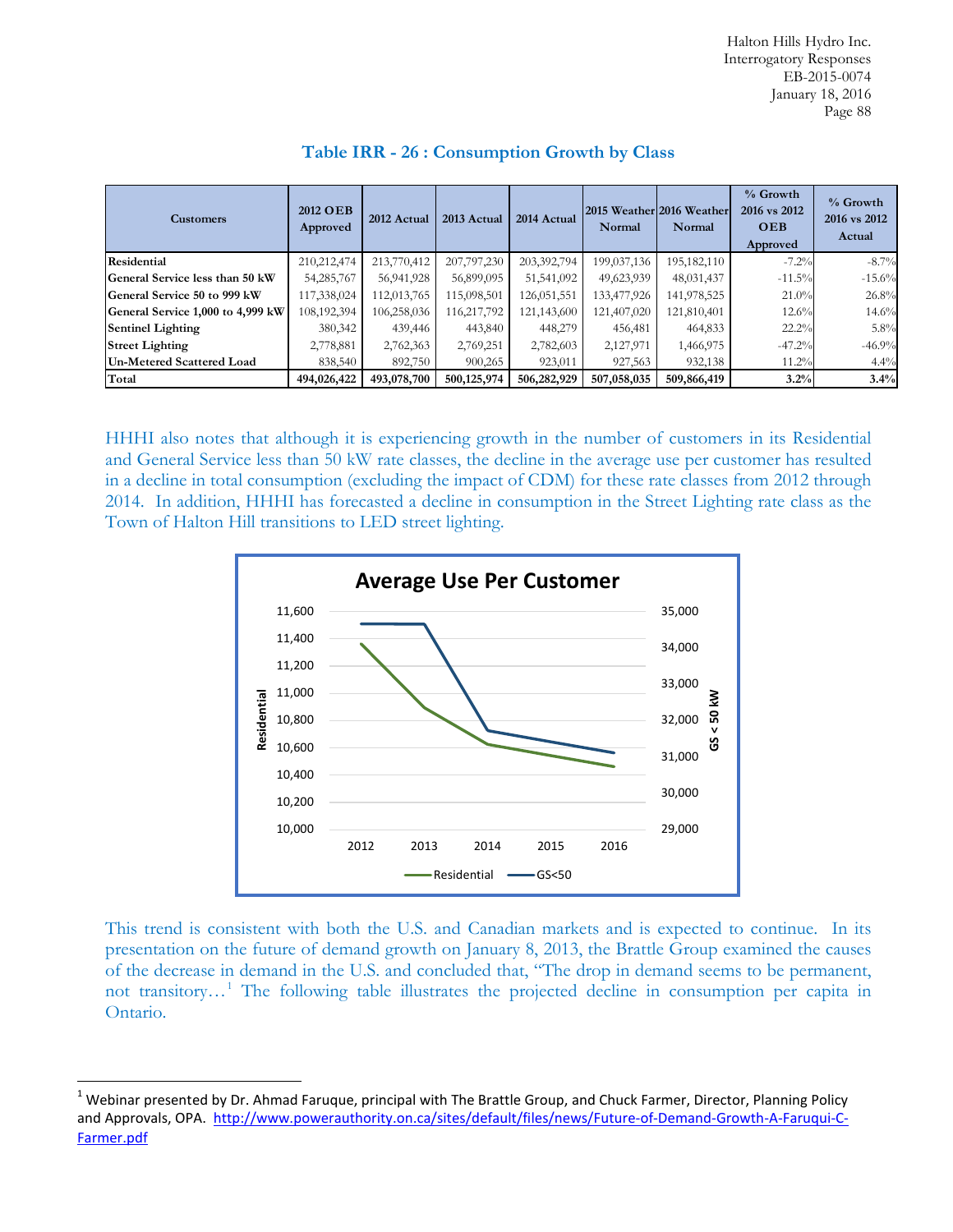| <b>Customers</b>                  | 2012 OEB<br>Approved | 2012 Actual | 2013 Actual | 2014 Actual | 2015 Weather 2016 Weather<br>Normal | Normal      | % Growth<br>2016 vs 2012<br><b>OEB</b><br>Approved | % Growth<br>2016 vs 2012<br>Actual |
|-----------------------------------|----------------------|-------------|-------------|-------------|-------------------------------------|-------------|----------------------------------------------------|------------------------------------|
| <b>Residential</b>                | 210,212,474          | 213,770,412 | 207,797,230 | 203,392,794 | 199,037,136                         | 195,182,110 | $-7.2%$                                            | $-8.7\%$                           |
| General Service less than 50 kW   | 54,285,767           | 56,941,928  | 56,899,095  | 51,541,092  | 49,623,939                          | 48,031,437  | $-11.5%$                                           | $-15.6%$                           |
| General Service 50 to 999 kW      | 117,338,024          | 112,013,765 | 115,098,501 | 126,051,551 | 133,477,926                         | 141,978,525 | 21.0%                                              | 26.8%                              |
| General Service 1,000 to 4,999 kW | 108,192,394          | 106,258,036 | 116,217,792 | 121,143,600 | 121,407,020                         | 121,810,401 | $12.6\%$                                           | 14.6%                              |
| <b>Sentinel Lighting</b>          | 380,342              | 439,446     | 443,840     | 448,279     | 456,481                             | 464,833     | 22.2%                                              | 5.8%                               |
| <b>Street Lighting</b>            | 2,778,881            | 2,762,363   | 2,769,251   | 2,782,603   | 2,127,971                           | 1,466,975   | $-47.2%$                                           | $-46.9%$                           |
| <b>Un-Metered Scattered Load</b>  | 838,540              | 892,750     | 900.265     | 923,011     | 927,563                             | 932,138     | $11.2\%$                                           | 4.4%                               |
| Total                             | 494,026,422          | 493,078,700 | 500,125,974 | 506,282,929 | 507,058,035                         | 509,866,419 | 3.2%                                               | 3.4%                               |

### **Table IRR - 26 : Consumption Growth by Class**

HHHI also notes that although it is experiencing growth in the number of customers in its Residential and General Service less than 50 kW rate classes, the decline in the average use per customer has resulted in a decline in total consumption (excluding the impact of CDM) for these rate classes from 2012 through 2014. In addition, HHHI has forecasted a decline in consumption in the Street Lighting rate class as the Town of Halton Hill transitions to LED street lighting.



This trend is consistent with both the U.S. and Canadian markets and is expected to continue. In its presentation on the future of demand growth on January 8, 2013, the Brattle Group examined the causes of the decrease in demand in the U.S. and concluded that, "The drop in demand seems to be permanent, not transitory…[1](#page-1-0) The following table illustrates the projected decline in consumption per capita in Ontario.

<span id="page-1-0"></span> $1$  Webinar presented by Dr. Ahmad Faruque, principal with The Brattle Group, and Chuck Farmer, Director, Planning Policy and Approvals, OPA. [http://www.powerauthority.on.ca/sites/default/files/news/Future-of-Demand-Growth-A-Faruqui-C-](http://www.powerauthority.on.ca/sites/default/files/news/Future-of-Demand-Growth-A-Faruqui-C-Farmer.pdf)[Farmer.pdf](http://www.powerauthority.on.ca/sites/default/files/news/Future-of-Demand-Growth-A-Faruqui-C-Farmer.pdf)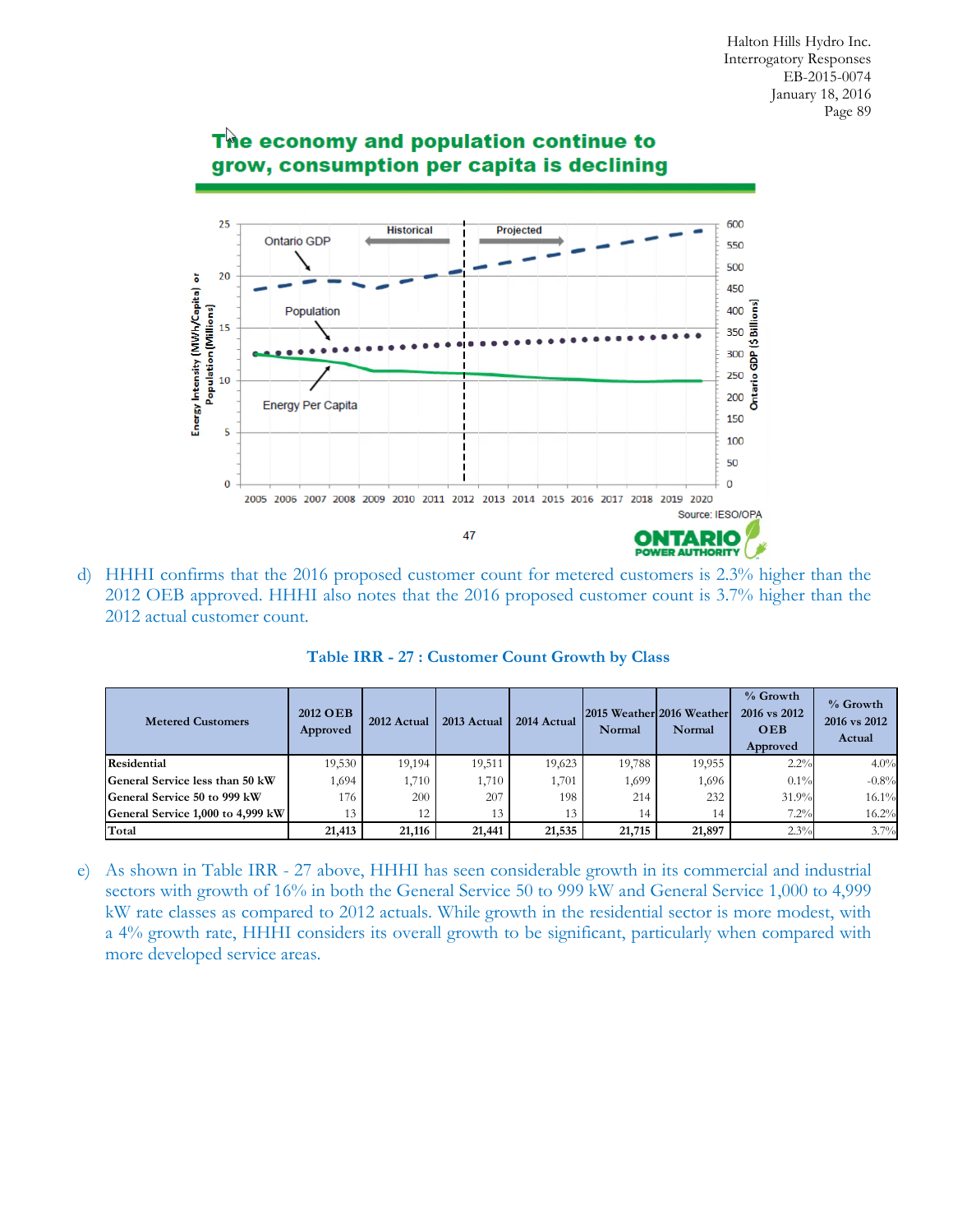

# The economy and population continue to grow, consumption per capita is declining

d) HHHI confirms that the 2016 proposed customer count for metered customers is 2.3% higher than the 2012 OEB approved. HHHI also notes that the 2016 proposed customer count is 3.7% higher than the 2012 actual customer count.

| <b>Metered Customers</b>          | 2012 OEB<br>Approved | 2012 Actual | 2013 Actual | 2014 Actual | Normal | 2015 Weather 2016 Weather<br>Normal | % Growth<br>2016 vs 2012<br><b>OEB</b><br>Approved | % Growth<br>2016 vs 2012<br>Actual |
|-----------------------------------|----------------------|-------------|-------------|-------------|--------|-------------------------------------|----------------------------------------------------|------------------------------------|
| <b>Residential</b>                | 19.530               | 19.194      | 19.511      | 19.623      | 19,788 | 19.955                              | 2.2%                                               | 4.0%                               |
| General Service less than 50 kW   | 1,694                | 1,710       | 1,710       | 1,701       | 1,699  | 1,696                               | $0.1\%$                                            | $-0.8%$                            |
| General Service 50 to 999 kW      | 176                  | 200         | 207         | 198         | 214    | 232                                 | 31.9%                                              | 16.1%                              |
| General Service 1,000 to 4,999 kW | 13                   | 12          | 13          | 13          | 14     | 14                                  | 7.2%                                               | 16.2%                              |
| Total                             | 21,413               | 21,116      | 21,441      | 21,535      | 21,715 | 21,897                              | 2.3%                                               | 3.7%                               |

**Table IRR - 27 : Customer Count Growth by Class**

e) As shown in Table IRR - 27 above, HHHI has seen considerable growth in its commercial and industrial sectors with growth of 16% in both the General Service 50 to 999 kW and General Service 1,000 to 4,999 kW rate classes as compared to 2012 actuals. While growth in the residential sector is more modest, with a 4% growth rate, HHHI considers its overall growth to be significant, particularly when compared with more developed service areas.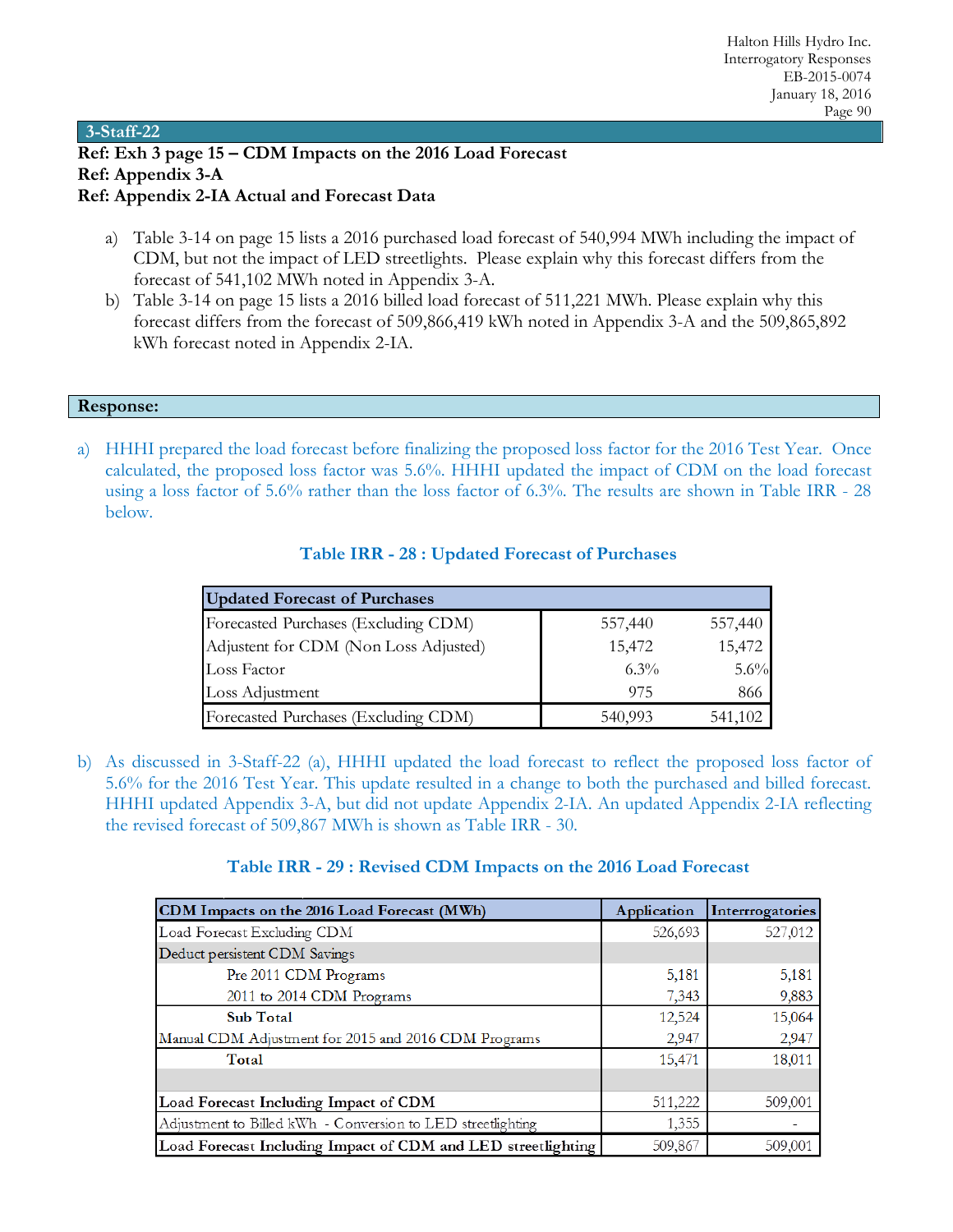**3-Staff-22 Ref: Exh 3 page 15 – CDM Impacts on the 2016 Load Forecast Ref: Appendix 3-A Ref: Appendix 2-IA Actual and Forecast Data**

- a) Table 3-14 on page 15 lists a 2016 purchased load forecast of 540,994 MWh including the impact of CDM, but not the impact of LED streetlights. Please explain why this forecast differs from the forecast of 541,102 MWh noted in Appendix 3-A.
- b) Table 3-14 on page 15 lists a 2016 billed load forecast of 511,221 MWh. Please explain why this forecast differs from the forecast of 509,866,419 kWh noted in Appendix 3-A and the 509,865,892 kWh forecast noted in Appendix 2-IA.

### **Response:**

a) HHHI prepared the load forecast before finalizing the proposed loss factor for the 2016 Test Year. Once calculated, the proposed loss factor was 5.6%. HHHI updated the impact of CDM on the load forecast using a loss factor of 5.6% rather than the loss factor of 6.3%. The results are shown in Table IRR - 28 below.

| <b>Updated Forecast of Purchases</b>  |         |         |
|---------------------------------------|---------|---------|
| Forecasted Purchases (Excluding CDM)  | 557,440 | 557,440 |
| Adjustent for CDM (Non Loss Adjusted) | 15,472  | 15,472  |
| Loss Factor                           | $6.3\%$ | $5.6\%$ |
| Loss Adjustment                       | 975     | 866     |
| Forecasted Purchases (Excluding CDM)  | 540,993 | 541,102 |

### **Table IRR - 28 : Updated Forecast of Purchases**

b) As discussed in 3-Staff-22 (a), HHHI updated the load forecast to reflect the proposed loss factor of 5.6% for the 2016 Test Year. This update resulted in a change to both the purchased and billed forecast. HHHI updated Appendix 3-A, but did not update Appendix 2-IA. An updated Appendix 2-IA reflecting the revised forecast of 509,867 MWh is shown as Table IRR - 30.

### **Table IRR - 29 : Revised CDM Impacts on the 2016 Load Forecast**

| CDM Impacts on the 2016 Load Forecast (MWh)                  | Application | Interrrogatories |
|--------------------------------------------------------------|-------------|------------------|
| Load Forecast Excluding CDM                                  | 526,693     | 527,012          |
| Deduct persistent CDM Savings                                |             |                  |
| Pre 2011 CDM Programs                                        | 5,181       | 5,181            |
| 2011 to 2014 CDM Programs                                    | 7,343       | 9,883            |
| <b>Sub Total</b>                                             | 12,524      | 15,064           |
| Manual CDM Adjustment for 2015 and 2016 CDM Programs         | 2,947       | 2,947            |
| Total                                                        | 15,471      | 18,011           |
|                                                              |             |                  |
| Load Forecast Including Impact of CDM                        | 511,222     | 509,001          |
| Adjustment to Billed kWh - Conversion to LED streetlighting  | 1,355       |                  |
| Load Forecast Including Impact of CDM and LED streetlighting | 509,867     | 509,001          |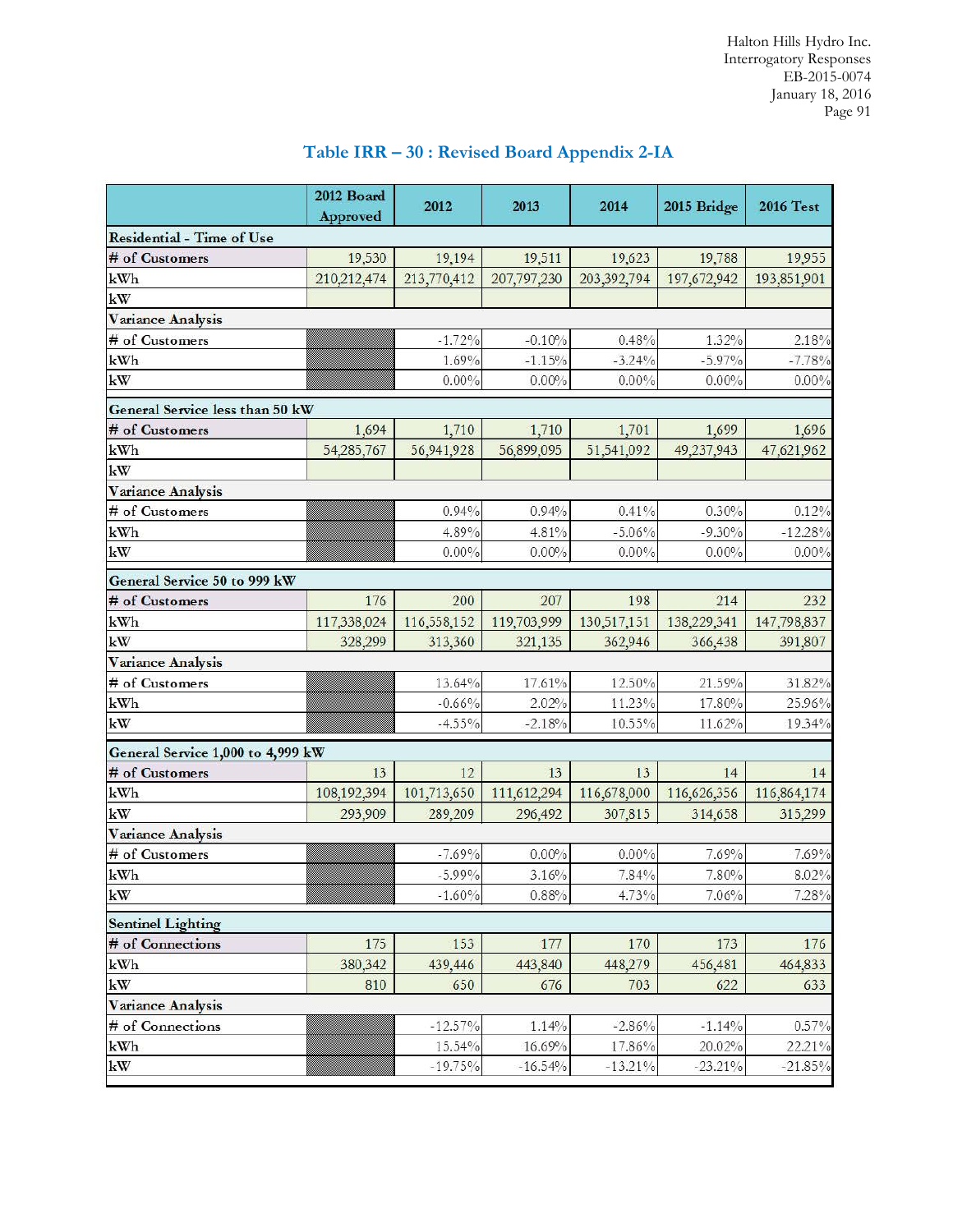|                                   | 2012 Board  |             |             |             |             |                  |  |
|-----------------------------------|-------------|-------------|-------------|-------------|-------------|------------------|--|
|                                   | Approved    | 2012        | 2013        | 2014        | 2015 Bridge | <b>2016 Test</b> |  |
| <b>Residential - Time of Use</b>  |             |             |             |             |             |                  |  |
| # of Customers                    | 19,530      | 19,194      | 19,511      | 19,623      | 19,788      | 19,955           |  |
| kWh                               | 210,212,474 | 213,770,412 | 207,797,230 | 203,392,794 | 197,672,942 | 193,851,901      |  |
| $\mathbf{k}\mathbf{W}$            |             |             |             |             |             |                  |  |
| Variance Analysis                 |             |             |             |             |             |                  |  |
| # of Customers                    |             | $-1.72%$    | $-0.10%$    | 0.48%       | 1.32%       | 2.18%            |  |
| kWh                               |             | 1.69%       | $-1.15\%$   | $-3.24%$    | $-5.97\%$   | $-7.78%$         |  |
| $\mathbf{k}\mathbf{W}$            |             | $0.00\%$    | $0.00\%$    | $0.00\%$    | 0.00%       | $0.00\%$         |  |
| General Service less than 50 kW   |             |             |             |             |             |                  |  |
| # of Customers                    | 1,694       | 1,710       | 1,710       | 1,701       | 1,699       | 1,696            |  |
| kWh                               | 54,285,767  | 56,941,928  | 56,899,095  | 51,541,092  | 49,237,943  | 47,621,962       |  |
| kW                                |             |             |             |             |             |                  |  |
| Variance Analysis                 |             |             |             |             |             |                  |  |
| # of Customers                    |             | 0.94%       | 0.94%       | 0.41%       | $0.30\%$    | 0.12%            |  |
| kWh                               |             | 4.89%       | 4.81%       | $-5.06%$    | $-9.30\%$   | $-12.28%$        |  |
| kW                                |             | $0.00\%$    | $0.00\%$    | $0.00\%$    | $0.00\%$    | $0.00\%$         |  |
| General Service 50 to 999 kW      |             |             |             |             |             |                  |  |
| # of Customers                    | 176         | 200         | 207         | 198         | 214         | 232              |  |
| kWh                               | 117,338,024 | 116,558,152 | 119,703,999 | 130,517,151 | 138,229,341 | 147,798,837      |  |
| kW                                | 328,299     | 313,360     | 321,135     | 362,946     | 366,438     | 391,807          |  |
| Variance Analysis                 |             |             |             |             |             |                  |  |
| # of Customers                    |             | 13.64%      | 17.61%      | 12.50%      | 21.59%      | 31.82%           |  |
| kWh                               |             | $-0.66%$    | 2.02%       | 11.23%      | 17.80%      | 25.96%           |  |
| kW                                |             | $-4.55\%$   | $-2.18%$    | 10.55%      | 11.62%      | 19.34%           |  |
| General Service 1,000 to 4,999 kW |             |             |             |             |             |                  |  |
| # of Customers                    | 13          | 12          | 13          | 13          | 14          | 14               |  |
| kWh                               | 108,192,394 | 101,713,650 | 111,612,294 | 116,678,000 | 116,626,356 | 116,864,174      |  |
| kW                                | 293,909     | 289,209     | 296,492     | 307,815     | 314,658     | 315,299          |  |
| Variance Analysis                 |             |             |             |             |             |                  |  |
| # of Customers                    |             | $-7.69%$    | $0.00\%$    | $0.00\%$    | 7.69%       | 7.69%            |  |
| $\mathbf{kWh}$                    |             | $-5.99\%$   | 3.16%       | 7.84%       | 7.80%       | 8.02%            |  |
| $\mathbf{k}\mathbf{W}$            |             | $-1.60%$    | 0.88%       | 4.73%       | 7.06%       | 7.28%            |  |
| <b>Sentinel Lighting</b>          |             |             |             |             |             |                  |  |
| # of Connections                  | 175         | 153         | 177         | 170         | 173         | 176              |  |
| kWh                               | 380,342     | 439,446     | 443,840     | 448,279     | 456,481     | 464,833          |  |
| $\mathbf{k}\mathbf{W}$            | 810         | 650         | 676         | 703         | 622         | 633              |  |
| Variance Analysis                 |             |             |             |             |             |                  |  |
| # of Connections                  |             | $-12.57\%$  | 1.14%       | $-2.86%$    | $-1.14%$    | $0.57\%$         |  |
| kWh                               |             | 15.54%      | 16.69%      | 17.86%      | 20.02%      | 22.21%           |  |
| $\mathbf{k}\mathbf{W}$            |             | $-19.75%$   | $-16.54%$   | $-13.21\%$  | $-23.21\%$  | $-21.85%$        |  |

# **Table IRR – 30 : Revised Board Appendix 2-IA**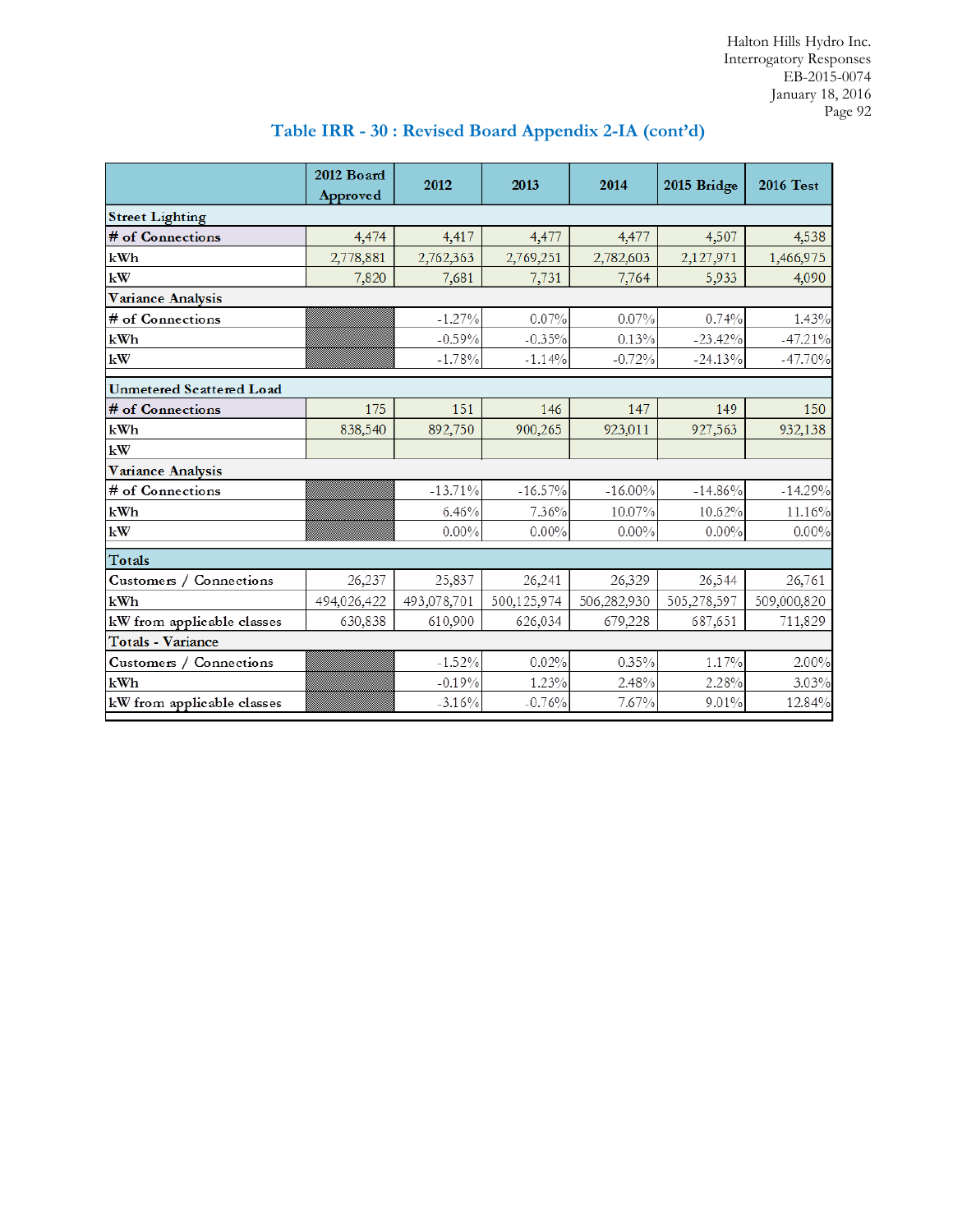|                                 | 2012 Board  | 2012        | 2013        | 2014        | 2015 Bridge | <b>2016 Test</b> |
|---------------------------------|-------------|-------------|-------------|-------------|-------------|------------------|
|                                 | Approved    |             |             |             |             |                  |
| <b>Street Lighting</b>          |             |             |             |             |             |                  |
| # of Connections                | 4,474       | 4,417       | 4,477       | 4,477       | 4,507       | 4,538            |
| kWh                             | 2,778,881   | 2,762,363   | 2,769,251   | 2,782,603   | 2,127,971   | 1,466,975        |
| kW                              | 7,820       | 7,681       | 7,731       | 7,764       | 5,933       | 4,090            |
| <b>Variance Analysis</b>        |             |             |             |             |             |                  |
| # of Connections                |             | $-1.27\%$   | 0.07%       | 0.07%       | 0.74%       | 1.43%            |
| kWh                             |             | $-0.59%$    | $-0.35%$    | 0.13%       | $-23.42%$   | $-47.21%$        |
| kW                              |             | $-1.78%$    | $-1.14%$    | $-0.72%$    | $-24.13%$   | $-47.70%$        |
| <b>Unmetered Scattered Load</b> |             |             |             |             |             |                  |
| # of Connections                | 175         | 151         | 146         | 147         | 149         | 150              |
| kWh                             | 838,540     | 892,750     | 900,265     | 923,011     | 927,563     | 932,138          |
| kW                              |             |             |             |             |             |                  |
| <b>Variance Analysis</b>        |             |             |             |             |             |                  |
| # of Connections                |             | $-13.71%$   | $-16.57%$   | $-16.00\%$  | $-14.86%$   | $-14.29%$        |
| kWh                             |             | 6.46%       | 7.36%       | 10.07%      | 10.62%      | 11.16%           |
| kW                              |             | $0.00\%$    | $0.00\%$    | $0.00\%$    | $0.00\%$    | $0.00\%$         |
| Totals                          |             |             |             |             |             |                  |
| Customers /<br>Connections      | 26,237      | 25,837      | 26,241      | 26,329      | 26,544      | 26,761           |
| kWh                             | 494,026,422 | 493,078,701 | 500,125,974 | 506,282,930 | 505,278,597 | 509,000,820      |
| kW from applicable classes      | 630,838     | 610,900     | 626,034     | 679,228     | 687,651     | 711,829          |
| <b>Totals - Variance</b>        |             |             |             |             |             |                  |
| Customers / Connections         |             | $-1.52%$    | 0.02%       | 0.35%       | 1.17%       | 2.00%            |
| kWh                             |             | $-0.19%$    | 1.23%       | 2.48%       | 2.28%       | 3.03%            |
| kW from applicable classes      |             | $-3.16%$    | $-0.76%$    | 7.67%       | 9.01%       | 12.84%           |

# **Table IRR - 30 : Revised Board Appendix 2-IA (cont'd)**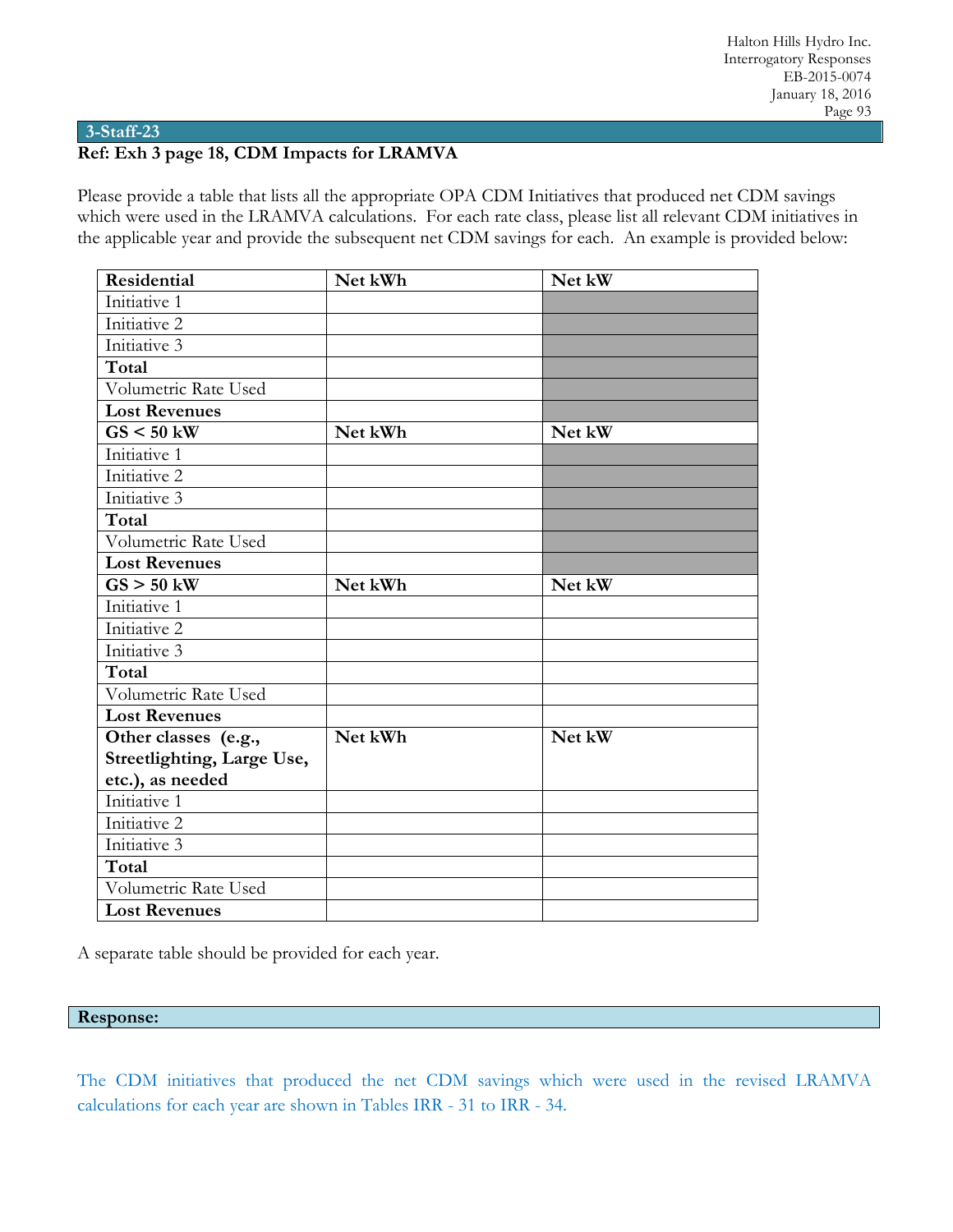#### **3-Staff-23**

# **Ref: Exh 3 page 18, CDM Impacts for LRAMVA**

Please provide a table that lists all the appropriate OPA CDM Initiatives that produced net CDM savings which were used in the LRAMVA calculations. For each rate class, please list all relevant CDM initiatives in the applicable year and provide the subsequent net CDM savings for each. An example is provided below:

| <b>Residential</b>         | Net kWh | Net kW |
|----------------------------|---------|--------|
| Initiative 1               |         |        |
| Initiative 2               |         |        |
| Initiative 3               |         |        |
| Total                      |         |        |
| Volumetric Rate Used       |         |        |
| <b>Lost Revenues</b>       |         |        |
| $GS < 50$ kW               | Net kWh | Net kW |
| Initiative 1               |         |        |
| Initiative 2               |         |        |
| Initiative 3               |         |        |
| Total                      |         |        |
| Volumetric Rate Used       |         |        |
| <b>Lost Revenues</b>       |         |        |
| $GS > 50$ kW               | Net kWh | Net kW |
| Initiative 1               |         |        |
| Initiative 2               |         |        |
| Initiative 3               |         |        |
| Total                      |         |        |
| Volumetric Rate Used       |         |        |
| <b>Lost Revenues</b>       |         |        |
| Other classes (e.g.,       | Net kWh | Net kW |
| Streetlighting, Large Use, |         |        |
| etc.), as needed           |         |        |
| Initiative 1               |         |        |
| Initiative 2               |         |        |
| Initiative 3               |         |        |
| Total                      |         |        |
| Volumetric Rate Used       |         |        |
| <b>Lost Revenues</b>       |         |        |

A separate table should be provided for each year.

#### **Response:**

The CDM initiatives that produced the net CDM savings which were used in the revised LRAMVA calculations for each year are shown in Tables IRR - 31 to IRR - 34.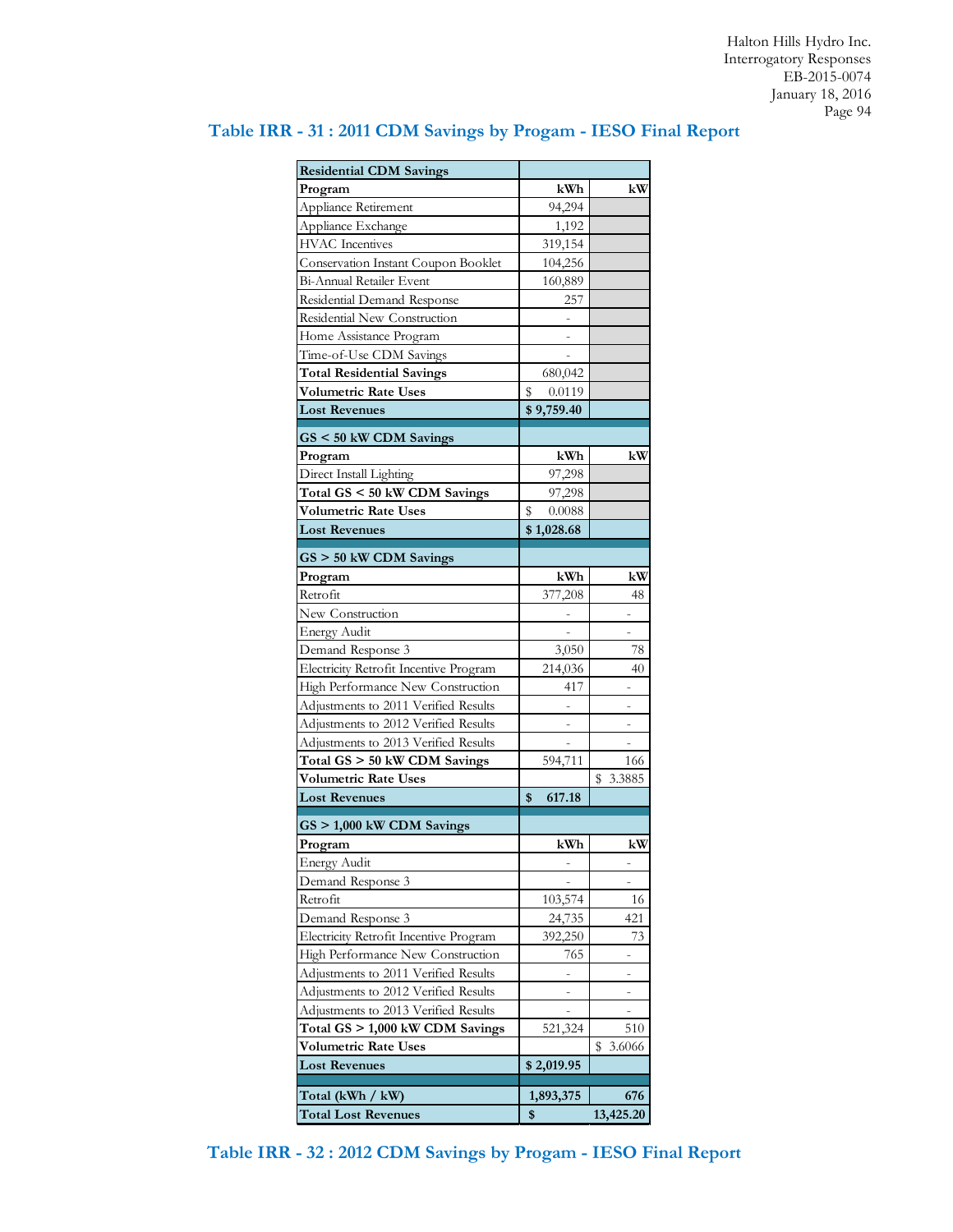| <b>Residential CDM Savings</b>         |                |                |
|----------------------------------------|----------------|----------------|
| Program                                | kWh            | kW             |
| Appliance Retirement                   | 94,294         |                |
| Appliance Exchange                     | 1,192          |                |
| <b>HVAC</b> Incentives                 | 319,154        |                |
| Conservation Instant Coupon Booklet    | 104,256        |                |
| Bi-Annual Retailer Event               | 160,889        |                |
| Residential Demand Response            | 257            |                |
| Residential New Construction           |                |                |
| Home Assistance Program                |                |                |
| Time-of-Use CDM Savings                |                |                |
| <b>Total Residential Savings</b>       | 680,042        |                |
| Volumetric Rate Uses                   | \$<br>0.0119   |                |
| <b>Lost Revenues</b>                   | \$9,759.40     |                |
|                                        |                |                |
| GS < 50 kW CDM Savings                 |                |                |
| Program                                | kWh            | kW             |
| Direct Install Lighting                | 97,298         |                |
| Total GS < 50 kW CDM Savings           | 97,298         |                |
| <b>Volumetric Rate Uses</b>            | \$<br>0.0088   |                |
| <b>Lost Revenues</b>                   | \$1,028.68     |                |
| $GS > 50$ kW CDM Savings               |                |                |
| Program                                | kWh            | kW             |
| Retrofit                               | 377,208        | 48             |
| New Construction                       |                | -              |
| <b>Energy Audit</b>                    | $\overline{a}$ | $\overline{a}$ |
| Demand Response 3                      | 3,050          | 78             |
| Electricity Retrofit Incentive Program | 214,036        | 40             |
| High Performance New Construction      | 417            |                |
| Adjustments to 2011 Verified Results   |                |                |
| Adjustments to 2012 Verified Results   |                |                |
| Adjustments to 2013 Verified Results   |                |                |
| Total GS > 50 kW CDM Savings           | 594,711        | 166            |
| <b>Volumetric Rate Uses</b>            |                | 3.3885<br>S    |
| <b>Lost Revenues</b>                   | 617.18<br>\$   |                |
|                                        |                |                |
| $GS > 1,000$ kW CDM Savings            |                |                |
| Program                                | kWh            | kW             |
| <b>Energy Audit</b>                    |                |                |
| Demand Response 3                      |                |                |
| Retrofit                               | 103,574        | 16             |
| Demand Response 3                      | 24,735         | 421            |
| Electricity Retrofit Incentive Program | 392,250        | 73             |
| High Performance New Construction      | 765            |                |
| Adjustments to 2011 Verified Results   |                |                |
| Adjustments to 2012 Verified Results   |                |                |
| Adjustments to 2013 Verified Results   |                |                |
| Total GS > 1,000 kW CDM Savings        | 521,324        | 510            |
| <b>Volumetric Rate Uses</b>            |                | 3.6066<br>s    |
| <b>Lost Revenues</b>                   | \$2,019.95     |                |
| Total (kWh / kW)                       | 1,893,375      | 676            |
| <b>Total Lost Revenues</b>             | \$             | 13,425.20      |

# **Table IRR - 31 : 2011 CDM Savings by Progam - IESO Final Report**

**Table IRR - 32 : 2012 CDM Savings by Progam - IESO Final Report**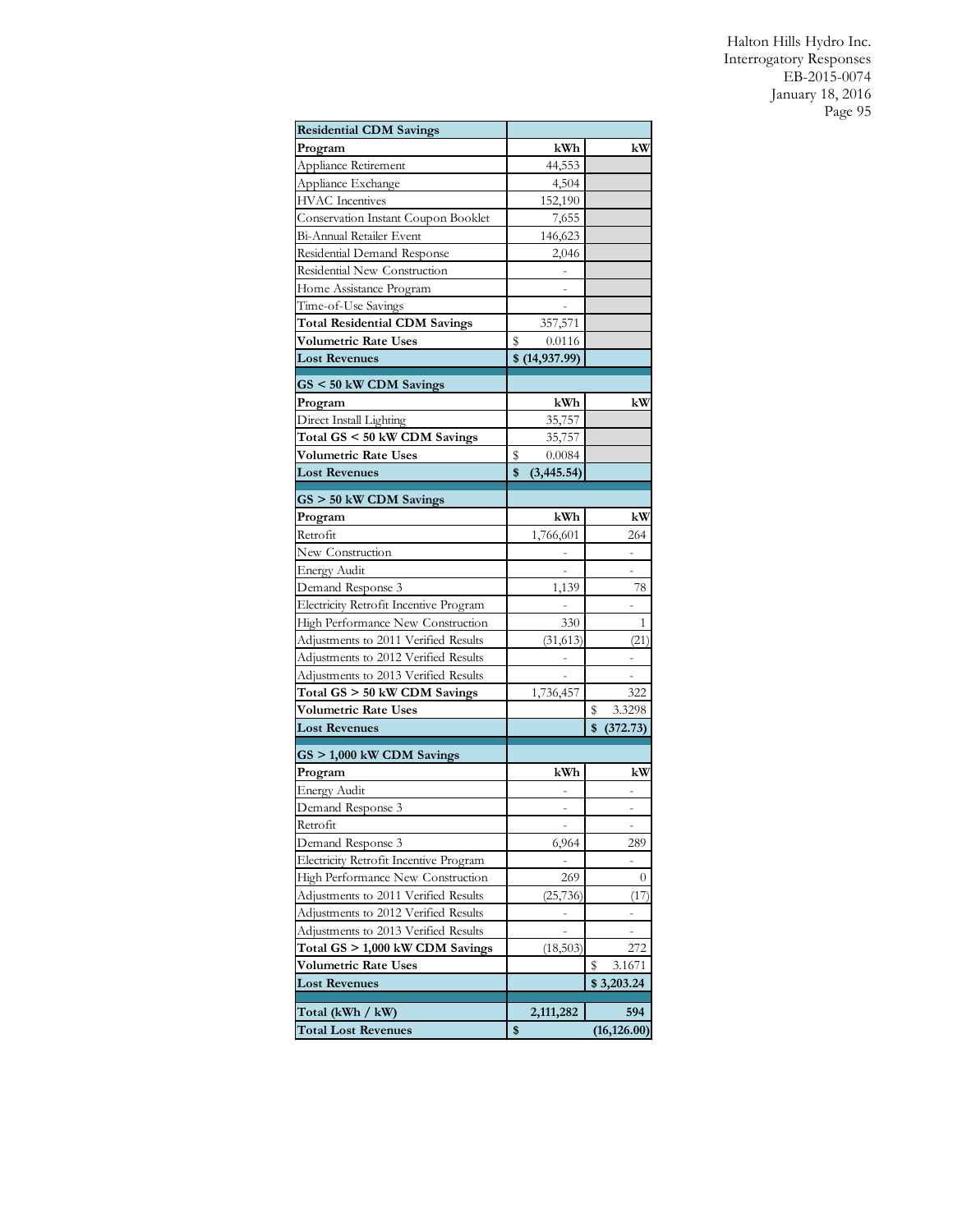| <b>Residential CDM Savings</b>                          |    |                |                     |  |
|---------------------------------------------------------|----|----------------|---------------------|--|
| Program                                                 |    | kWh            | kW                  |  |
| Appliance Retirement                                    |    | 44,553         |                     |  |
| Appliance Exchange                                      |    | 4,504          |                     |  |
| <b>HVAC</b> Incentives                                  |    | 152,190        |                     |  |
| Conservation Instant Coupon Booklet                     |    | 7,655          |                     |  |
| Bi-Annual Retailer Event                                |    | 146,623        |                     |  |
| Residential Demand Response                             |    | 2,046          |                     |  |
| Residential New Construction                            |    |                |                     |  |
| Home Assistance Program                                 |    |                |                     |  |
| Time-of-Use Savings                                     |    |                |                     |  |
| <b>Total Residential CDM Savings</b>                    |    | 357,571        |                     |  |
| <b>Volumetric Rate Uses</b>                             | s  | 0.0116         |                     |  |
| <b>Lost Revenues</b>                                    |    | \$ (14,937.99) |                     |  |
| GS < 50 kW CDM Savings                                  |    |                |                     |  |
| Program                                                 |    | kWh            | kW                  |  |
| Direct Install Lighting                                 |    | 35,757         |                     |  |
| Total GS < 50 kW CDM Savings                            |    | 35,757         |                     |  |
| <b>Volumetric Rate Uses</b>                             | s  | 0.0084         |                     |  |
| <b>Lost Revenues</b>                                    | \$ | (3, 445.54)    |                     |  |
|                                                         |    |                |                     |  |
| $GS > 50$ kW CDM Savings<br>Program                     |    | kWh            | kW                  |  |
| Retrofit                                                |    | 1,766,601      | 264                 |  |
| New Construction                                        |    |                |                     |  |
|                                                         |    |                |                     |  |
| <b>Energy Audit</b><br>Demand Response 3                |    | 1,139          | 78                  |  |
| Electricity Retrofit Incentive Program                  |    |                |                     |  |
| High Performance New Construction                       |    | 330            | 1                   |  |
| Adjustments to 2011 Verified Results                    |    | (31,613)       | (21)                |  |
| Adjustments to 2012 Verified Results                    |    |                |                     |  |
| Adjustments to 2013 Verified Results                    |    |                |                     |  |
| Total GS > 50 kW CDM Savings                            |    | 1,736,457      | 322                 |  |
| <b>Volumetric Rate Uses</b>                             |    |                | 3.3298<br>\$        |  |
| <b>Lost Revenues</b>                                    |    |                | \$<br>(372.73)      |  |
|                                                         |    |                |                     |  |
| GS > 1,000 kW CDM Savings                               |    |                |                     |  |
| Program                                                 |    | kWh            | kW                  |  |
| <b>Energy Audit</b>                                     |    |                |                     |  |
| Demand Response 3                                       |    |                |                     |  |
| Retrofit                                                |    | ÷              | -                   |  |
| Demand Response 3                                       |    | 6,964          | 289                 |  |
| Electricity Retrofit Incentive Program                  |    |                |                     |  |
| High Performance New Construction                       |    | 269            | $\boldsymbol{0}$    |  |
| Adjustments to 2011 Verified Results                    |    | (25, 736)      | (17                 |  |
| Adjustments to 2012 Verified Results                    |    |                |                     |  |
| Adjustments to 2013 Verified Results                    |    |                | $\overline{a}$      |  |
| Total GS > 1,000 kW CDM Savings<br>Volumetric Rate Uses |    | (18,503)       | 272<br>\$<br>3.1671 |  |
| <b>Lost Revenues</b>                                    |    |                | \$3,203.24          |  |
|                                                         |    |                |                     |  |
| Total (kWh / kW)                                        |    | 2,111,282      | 594                 |  |
| <b>Total Lost Revenues</b>                              |    |                | (16, 126.00)        |  |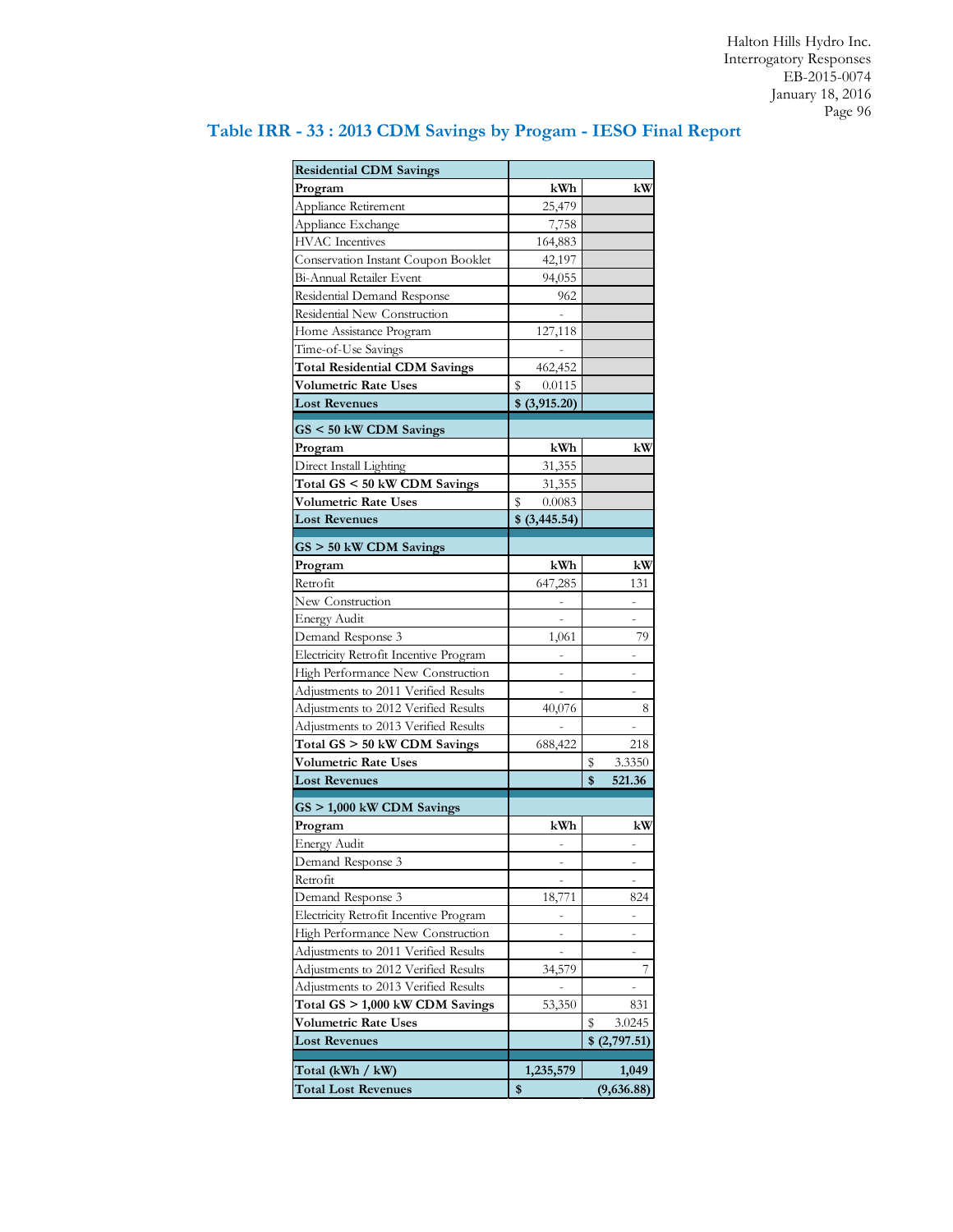| <b>Residential CDM Savings</b>                                 |                |              |
|----------------------------------------------------------------|----------------|--------------|
| Program                                                        | kWh            | kW           |
| Appliance Retirement                                           | 25,479         |              |
| Appliance Exchange<br><b>HVAC</b> Incentives                   | 7,758          |              |
|                                                                | 164,883        |              |
| Conservation Instant Coupon Booklet                            | 42,197         |              |
| Bi-Annual Retailer Event                                       | 94,055         |              |
| Residential Demand Response                                    | 962            |              |
| Residential New Construction                                   |                |              |
| Home Assistance Program                                        | 127,118        |              |
| Time-of-Use Savings                                            |                |              |
| <b>Total Residential CDM Savings</b>                           | 462,452        |              |
| Volumetric Rate Uses                                           | \$<br>0.0115   |              |
| <b>Lost Revenues</b>                                           | \$ (3,915.20)  |              |
| $GS < 50$ kW CDM Savings                                       |                |              |
| Program                                                        | kWh            | kW           |
| Direct Install Lighting                                        | 31,355         |              |
| Total GS < 50 kW CDM Savings                                   | 31,355         |              |
| <b>Volumetric Rate Uses</b>                                    | S<br>0.0083    |              |
| <b>Lost Revenues</b>                                           | $$$ (3,445.54) |              |
| $GS > 50$ kW CDM Savings                                       |                |              |
| Program                                                        | kWh            | kW           |
| Retrofit                                                       | 647,285        | 131          |
| New Construction                                               |                |              |
| <b>Energy Audit</b>                                            |                |              |
| Demand Response 3                                              | 1,061          | 79           |
| Electricity Retrofit Incentive Program                         |                |              |
| High Performance New Construction                              | ÷              |              |
| Adjustments to 2011 Verified Results                           |                |              |
| Adjustments to 2012 Verified Results                           | 40,076         | 8            |
| Adjustments to 2013 Verified Results                           |                |              |
| Total GS > 50 kW CDM Savings                                   | 688,422        | 218          |
| <b>Volumetric Rate Uses</b>                                    |                | 3.3350<br>S  |
| <b>Lost Revenues</b>                                           |                | \$<br>521.36 |
|                                                                |                |              |
| $GS > 1,000$ kW CDM Savings                                    |                |              |
| Program                                                        | kWh            | kW           |
| <b>Energy Audit</b>                                            |                |              |
| Demand Response 3                                              |                |              |
| Retrofit                                                       |                |              |
| Demand Response 3                                              | 18,771         | 824          |
| Electricity Retrofit Incentive Program                         |                | ۰            |
| High Performance New Construction                              |                |              |
| Adjustments to 2011 Verified Results                           | ÷              | ÷            |
| Adjustments to 2012 Verified Results                           | 34,579         | 7            |
| Adjustments to 2013 Verified Results                           |                |              |
| Total GS > 1,000 kW CDM Savings<br><b>Volumetric Rate Uses</b> | 53,350         | 831          |
|                                                                |                | \$<br>3.0245 |
| <b>Lost Revenues</b>                                           |                | \$(2,797.51) |
| Total (kWh / kW)                                               | 1,235,579      | 1,049        |
| <b>Total Lost Revenues</b>                                     | \$             | (9,636.88)   |

# **Table IRR - 33 : 2013 CDM Savings by Progam - IESO Final Report**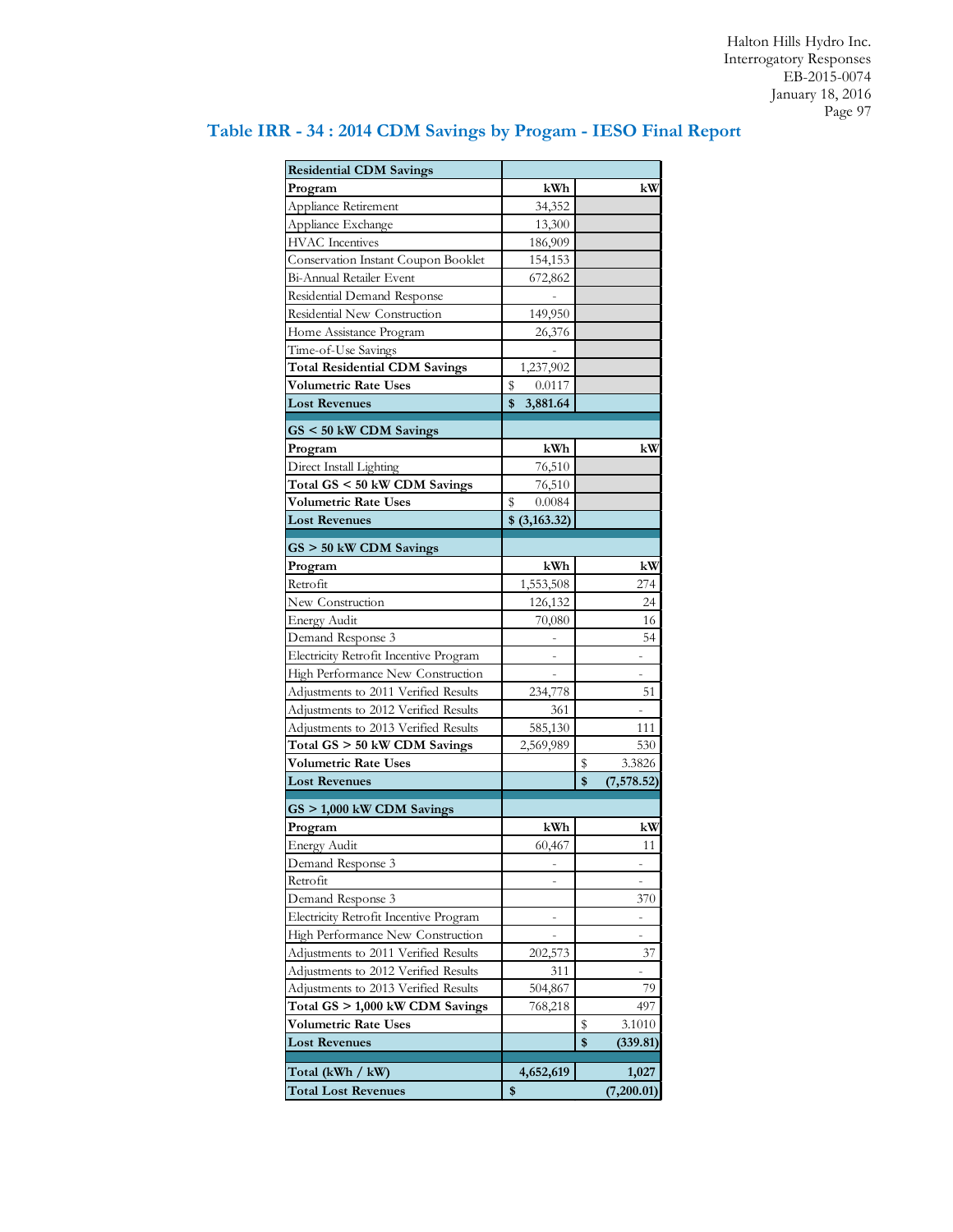| <b>Residential CDM Savings</b>         |                |    |             |
|----------------------------------------|----------------|----|-------------|
| Program                                | kWh            |    | kW          |
| Appliance Retirement                   | 34,352         |    |             |
| Appliance Exchange                     | 13,300         |    |             |
| <b>HVAC</b> Incentives                 | 186,909        |    |             |
| Conservation Instant Coupon Booklet    | 154,153        |    |             |
| Bi-Annual Retailer Event               | 672,862        |    |             |
| Residential Demand Response            |                |    |             |
| Residential New Construction           | 149,950        |    |             |
| Home Assistance Program                | 26,376         |    |             |
| Time-of-Use Savings                    |                |    |             |
| <b>Total Residential CDM Savings</b>   | 1,237,902      |    |             |
| Volumetric Rate Uses                   | \$<br>0.0117   |    |             |
| <b>Lost Revenues</b>                   | \$<br>3,881.64 |    |             |
|                                        |                |    |             |
| $GS < 50$ kW CDM Savings               |                |    |             |
| Program                                | kWh            |    | kW          |
| Direct Install Lighting                | 76,510         |    |             |
| Total GS < 50 kW CDM Savings           | 76,510         |    |             |
| <b>Volumetric Rate Uses</b>            | \$<br>0.0084   |    |             |
| <b>Lost Revenues</b>                   | \$ (3,163.32)  |    |             |
| GS > 50 kW CDM Savings                 |                |    |             |
| Program                                | kWh            |    | kW          |
| Retrofit                               | 1,553,508      |    | 274         |
| New Construction                       | 126,132        |    | 24          |
| <b>Energy Audit</b>                    | 70,080         |    | 16          |
| Demand Response 3                      |                |    | 54          |
| Electricity Retrofit Incentive Program |                |    |             |
| High Performance New Construction      |                |    |             |
| Adjustments to 2011 Verified Results   | 234,778        |    | 51          |
| Adjustments to 2012 Verified Results   | 361            |    |             |
| Adjustments to 2013 Verified Results   | 585,130        |    | 111         |
| Total GS > 50 kW CDM Savings           | 2,569,989      |    | 530         |
| <b>Volumetric Rate Uses</b>            |                | s  | 3.3826      |
| <b>Lost Revenues</b>                   |                | \$ | (7, 578.52) |
|                                        |                |    |             |
| GS > 1,000 kW CDM Savings              |                |    |             |
| Program                                | kWh            |    | kW          |
| <b>Energy Audit</b>                    | 60,467         |    | 11          |
| Demand Response 3                      |                |    |             |
| Retrofit                               |                |    |             |
| Demand Response 3                      |                |    | 370         |
| Electricity Retrofit Incentive Program |                |    |             |
| High Performance New Construction      |                |    |             |
| Adjustments to 2011 Verified Results   | 202,573        |    | 37          |
| Adjustments to 2012 Verified Results   | 311            |    |             |
| Adjustments to 2013 Verified Results   | 504,867        |    | 79          |
| Total GS > 1,000 kW CDM Savings        | 768,218        |    | 497         |
| Volumetric Rate Uses                   |                | \$ | 3.1010      |
| <b>Lost Revenues</b>                   |                | \$ | (339.81)    |
| Total (kWh / kW)                       | 4,652,619      |    | 1,027       |
| <b>Total Lost Revenues</b>             | \$             |    | (7,200.01)  |

# **Table IRR - 34 : 2014 CDM Savings by Progam - IESO Final Report**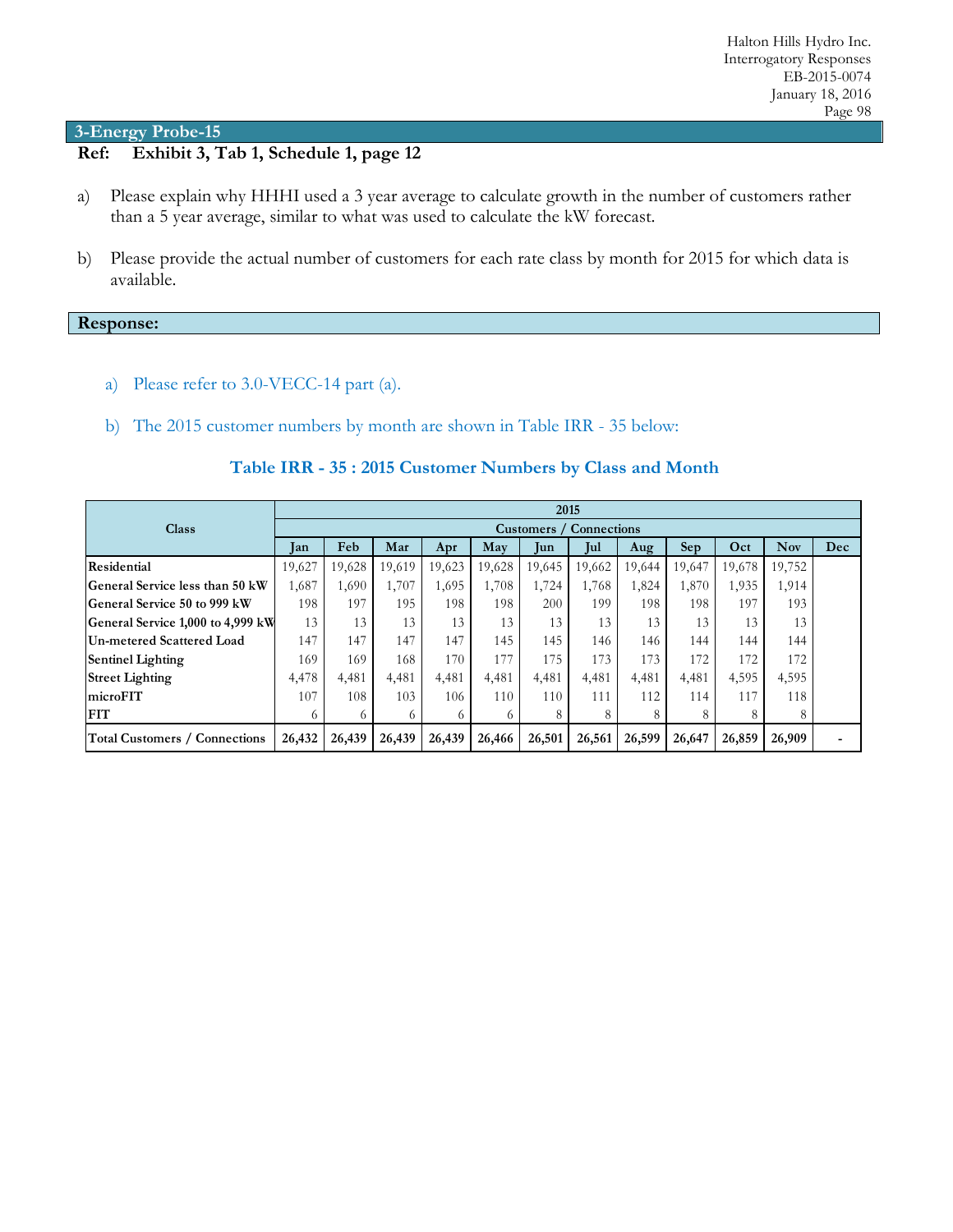# **Ref: Exhibit 3, Tab 1, Schedule 1, page 12**

- a) Please explain why HHHI used a 3 year average to calculate growth in the number of customers rather than a 5 year average, similar to what was used to calculate the kW forecast.
- b) Please provide the actual number of customers for each rate class by month for 2015 for which data is available.

#### **Response:**

- a) Please refer to 3.0-VECC-14 part (a).
- b) The 2015 customer numbers by month are shown in Table IRR 35 below:

|  |  | Table IRR - 35: 2015 Customer Numbers by Class and Month |
|--|--|----------------------------------------------------------|
|--|--|----------------------------------------------------------|

|                                        | 2015   |                                |        |        |        |        |        |        |                 |        |            |     |
|----------------------------------------|--------|--------------------------------|--------|--------|--------|--------|--------|--------|-----------------|--------|------------|-----|
| <b>Class</b>                           |        | <b>Customers</b> / Connections |        |        |        |        |        |        |                 |        |            |     |
|                                        | Jan    | Feb                            | Mar    | Apr    | May    | lun    | Jul    | Aug    | Se <sub>p</sub> | Oct    | <b>Nov</b> | Dec |
| Residential                            | 19,627 | 19,628                         | 19,619 | 19,623 | 19,628 | 19,645 | 19,662 | 19,644 | 19,647          | 19,678 | 19,752     |     |
| <b>General Service less than 50 kW</b> | 1,687  | 1,690                          | 1,707  | 1,695  | 1,708  | 1,724  | 1,768  | 1,824  | 1,870           | 1,935  | 1,914      |     |
| <b>General Service 50 to 999 kW</b>    | 198    | 197                            | 195    | 198    | 198    | 200    | 199    | 198    | 198             | 197    | 193        |     |
| General Service 1,000 to 4,999 kW      | 13     | 13                             | 13     | 13     | 13     | 13     | 13     | 13     | 13              | 13     | 13         |     |
| Un-metered Scattered Load              | 147    | 147                            | 147    | 147    | 145    | 145    | 146    | 146    | 144             | 144    | 144        |     |
| <b>Sentinel Lighting</b>               | 169    | 169                            | 168    | 170    | 177    | 175    | 173    | 173    | 172             | 172    | 172        |     |
| <b>Street Lighting</b>                 | 4,478  | 4,481                          | 4,481  | 4,481  | 4,481  | 4,481  | 4,481  | 4,481  | 4,481           | 4,595  | 4,595      |     |
| microFIT                               | 107    | 108                            | 103    | 106    | 110    | 110    | 111    | 112    | 114             | 117    | 118        |     |
| <b>FIT</b>                             | 6      |                                | 6      | 6      |        | 8      | 8      | 8      |                 | 8      | 8          |     |
| <b>Total Customers / Connections</b>   | 26,432 | 26,439                         | 26,439 | 26,439 | 26,466 | 26,501 | 26,561 | 26,599 | 26,647          | 26,859 | 26,909     |     |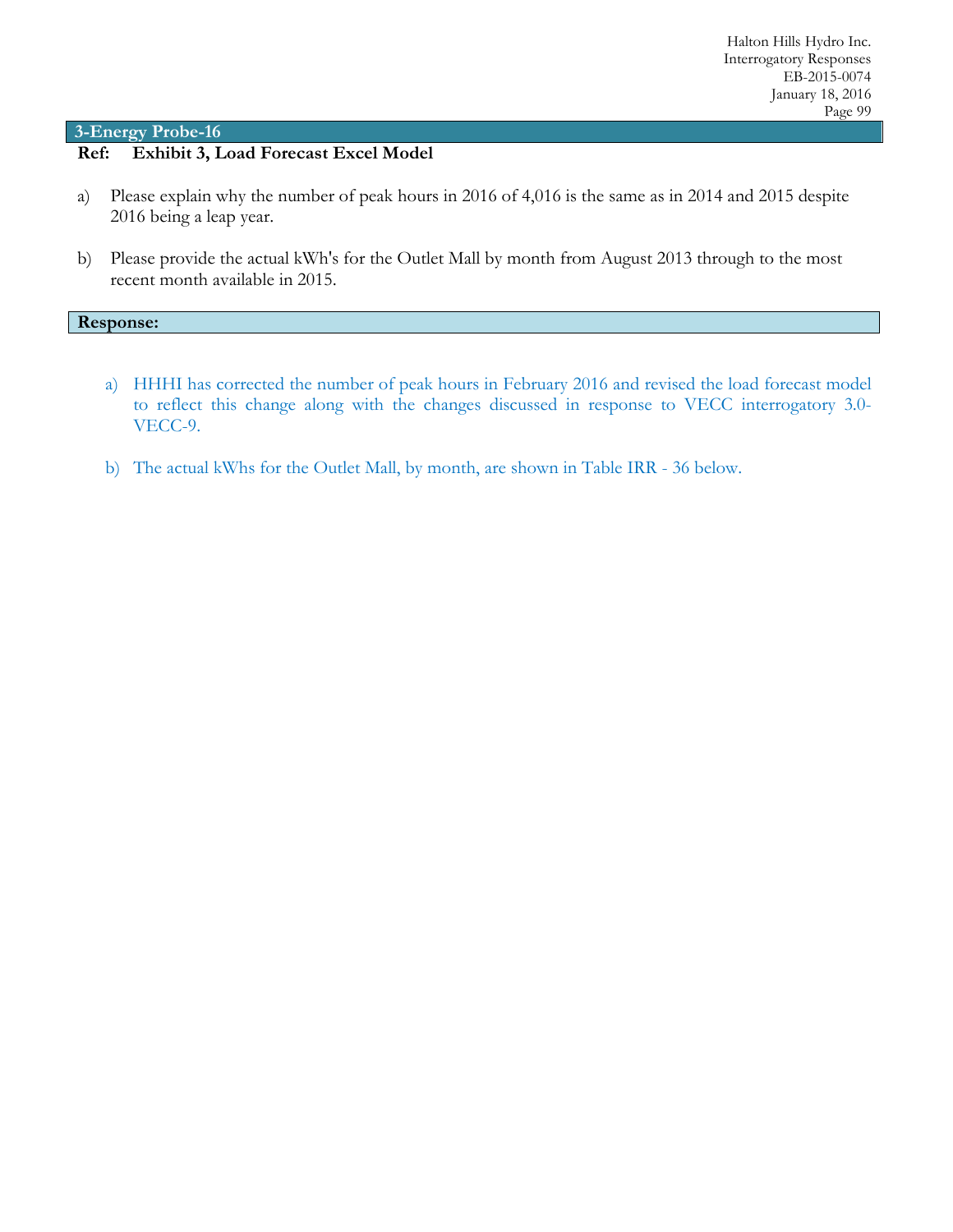### **Ref: Exhibit 3, Load Forecast Excel Model**

- a) Please explain why the number of peak hours in 2016 of 4,016 is the same as in 2014 and 2015 despite 2016 being a leap year.
- b) Please provide the actual kWh's for the Outlet Mall by month from August 2013 through to the most recent month available in 2015.

#### **Response:**

- a) HHHI has corrected the number of peak hours in February 2016 and revised the load forecast model to reflect this change along with the changes discussed in response to VECC interrogatory 3.0- VECC-9.
- b) The actual kWhs for the Outlet Mall, by month, are shown in Table IRR 36 below.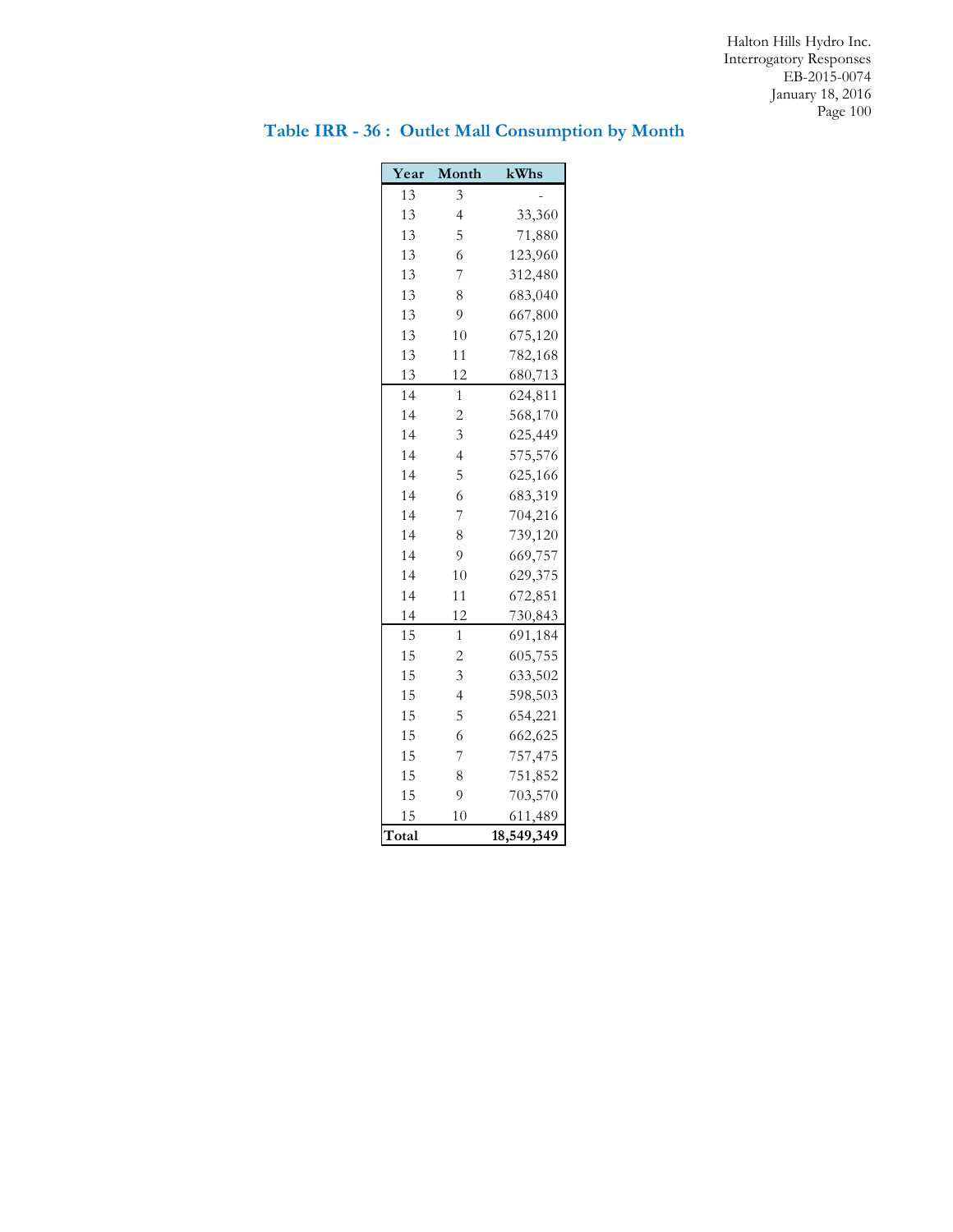### **Year Month kWhs** 13 3 4 33,360 5 71,880 6 123,960 7 312,480 8 683,040 9 667,800 10 675,120 11 782,168 12 680,713 1 624,811 2 568,170 3 625,449 4 575,576 5 625,166 6 683,319 7 704,216 8 739,120 9 669,757 10 629,375 11 672,851 12 730,843 1 691,184 2 605,755 3 633,502 4 598,503 5 654,221 6 662,625 7 757,475 8 751,852 9 703,570 10 611,489 **Total 18,549,349**

# **Table IRR - 36 : Outlet Mall Consumption by Month**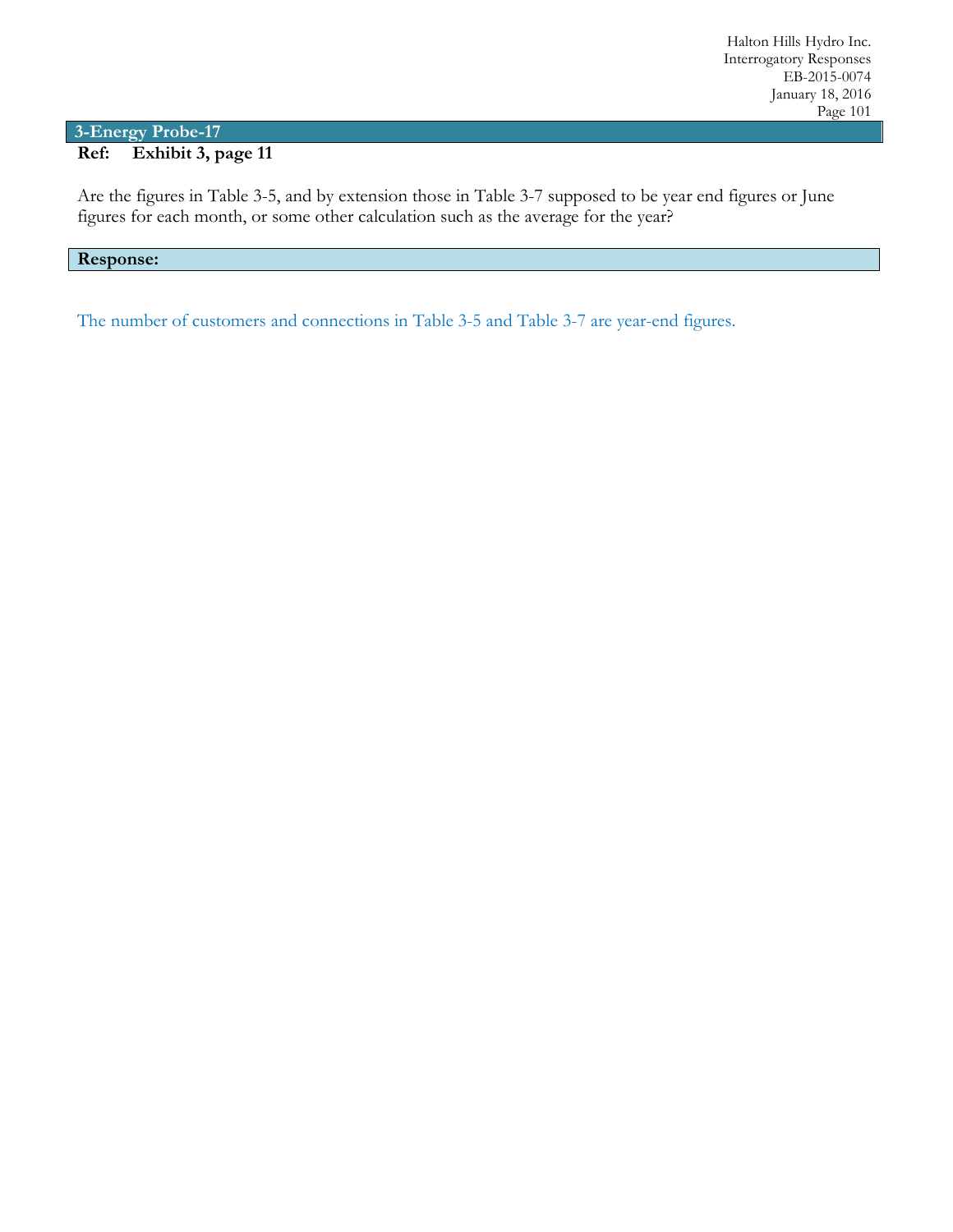### **3-Energy Probe-17 Ref: Exhibit 3, page 11**

Are the figures in Table 3-5, and by extension those in Table 3-7 supposed to be year end figures or June figures for each month, or some other calculation such as the average for the year?

### **Response:**

The number of customers and connections in Table 3-5 and Table 3-7 are year-end figures.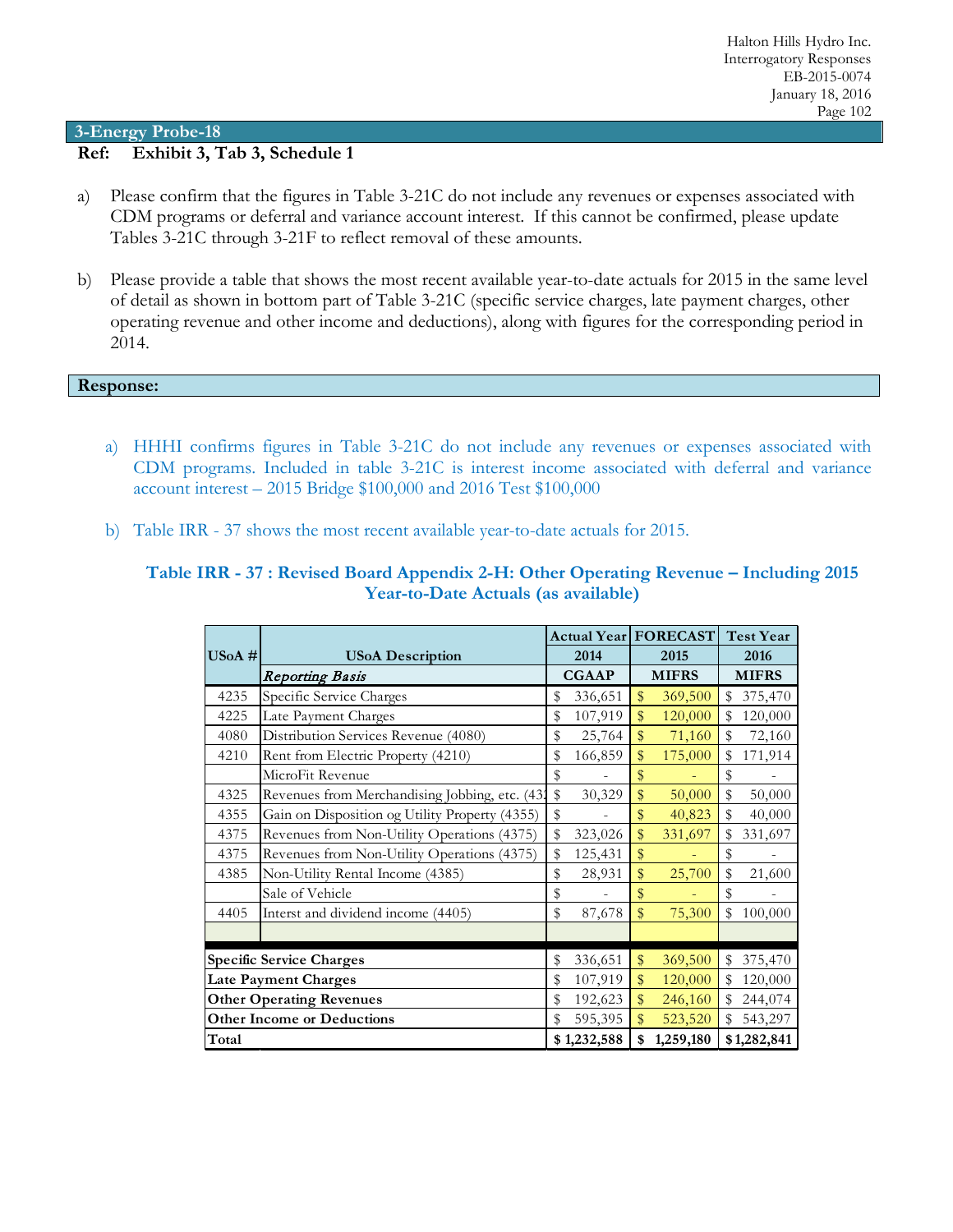### **Ref: Exhibit 3, Tab 3, Schedule 1**

- a) Please confirm that the figures in Table 3-21C do not include any revenues or expenses associated with CDM programs or deferral and variance account interest. If this cannot be confirmed, please update Tables 3-21C through 3-21F to reflect removal of these amounts.
- b) Please provide a table that shows the most recent available year-to-date actuals for 2015 in the same level of detail as shown in bottom part of Table 3-21C (specific service charges, late payment charges, other operating revenue and other income and deductions), along with figures for the corresponding period in 2014.

#### **Response:**

- a) HHHI confirms figures in Table 3-21C do not include any revenues or expenses associated with CDM programs. Included in table 3-21C is interest income associated with deferral and variance account interest – 2015 Bridge \$100,000 and 2016 Test \$100,000
- b) Table IRR 37 shows the most recent available year-to-date actuals for 2015.

### **Table IRR - 37 : Revised Board Appendix 2-H: Other Operating Revenue – Including 2015 Year-to-Date Actuals (as available)**

|           |                                                |               |              | <b>Actual Year   FORECAST  </b> |    | <b>Test Year</b> |  |
|-----------|------------------------------------------------|---------------|--------------|---------------------------------|----|------------------|--|
| $USoA \#$ | <b>USoA</b> Description                        | 2014          | 2015         |                                 |    | 2016             |  |
|           | Reporting Basis                                | <b>CGAAP</b>  |              | <b>MIFRS</b>                    |    | <b>MIFRS</b>     |  |
| 4235      | Specific Service Charges                       | \$<br>336,651 | \$           | 369,500                         | \$ | 375,470          |  |
| 4225      | Late Payment Charges                           | \$<br>107,919 | \$           | 120,000                         | \$ | 120,000          |  |
| 4080      | Distribution Services Revenue (4080)           | \$<br>25,764  | $\mathbb{S}$ | 71,160                          | \$ | 72,160           |  |
| 4210      | Rent from Electric Property (4210)             | \$<br>166,859 | \$           | 175,000                         | \$ | 171,914          |  |
|           | MicroFit Revenue                               | \$            | \$           |                                 | \$ |                  |  |
| 4325      | Revenues from Merchandising Jobbing, etc. (43) | \$<br>30,329  | \$           | 50,000                          | \$ | 50,000           |  |
| 4355      | Gain on Disposition og Utility Property (4355) | \$            | \$           | 40,823                          | \$ | 40,000           |  |
| 4375      | Revenues from Non-Utility Operations (4375)    | \$<br>323,026 | \$           | 331,697                         | \$ | 331,697          |  |
| 4375      | Revenues from Non-Utility Operations (4375)    | \$<br>125,431 | \$           |                                 | \$ |                  |  |
| 4385      | Non-Utility Rental Income (4385)               | \$<br>28,931  | \$           | 25,700                          | \$ | 21,600           |  |
|           | Sale of Vehicle                                | \$            | \$           |                                 | \$ |                  |  |
| 4405      | Interst and dividend income (4405)             | \$<br>87,678  | \$           | 75,300                          | \$ | 100,000          |  |
|           |                                                |               |              |                                 |    |                  |  |
|           | <b>Specific Service Charges</b>                | \$<br>336,651 | \$           | 369,500                         | \$ | 375,470          |  |
|           | <b>Late Payment Charges</b>                    | \$<br>107,919 | \$           | 120,000                         | \$ | 120,000          |  |
|           | <b>Other Operating Revenues</b>                | \$<br>192,623 | \$           | 246,160                         | \$ | 244,074          |  |
|           | <b>Other Income or Deductions</b>              | \$<br>595,395 | \$           | 523,520                         | \$ | 543,297          |  |
| Total     |                                                | \$1,232,588   | \$           | 1,259,180                       |    | \$1,282,841      |  |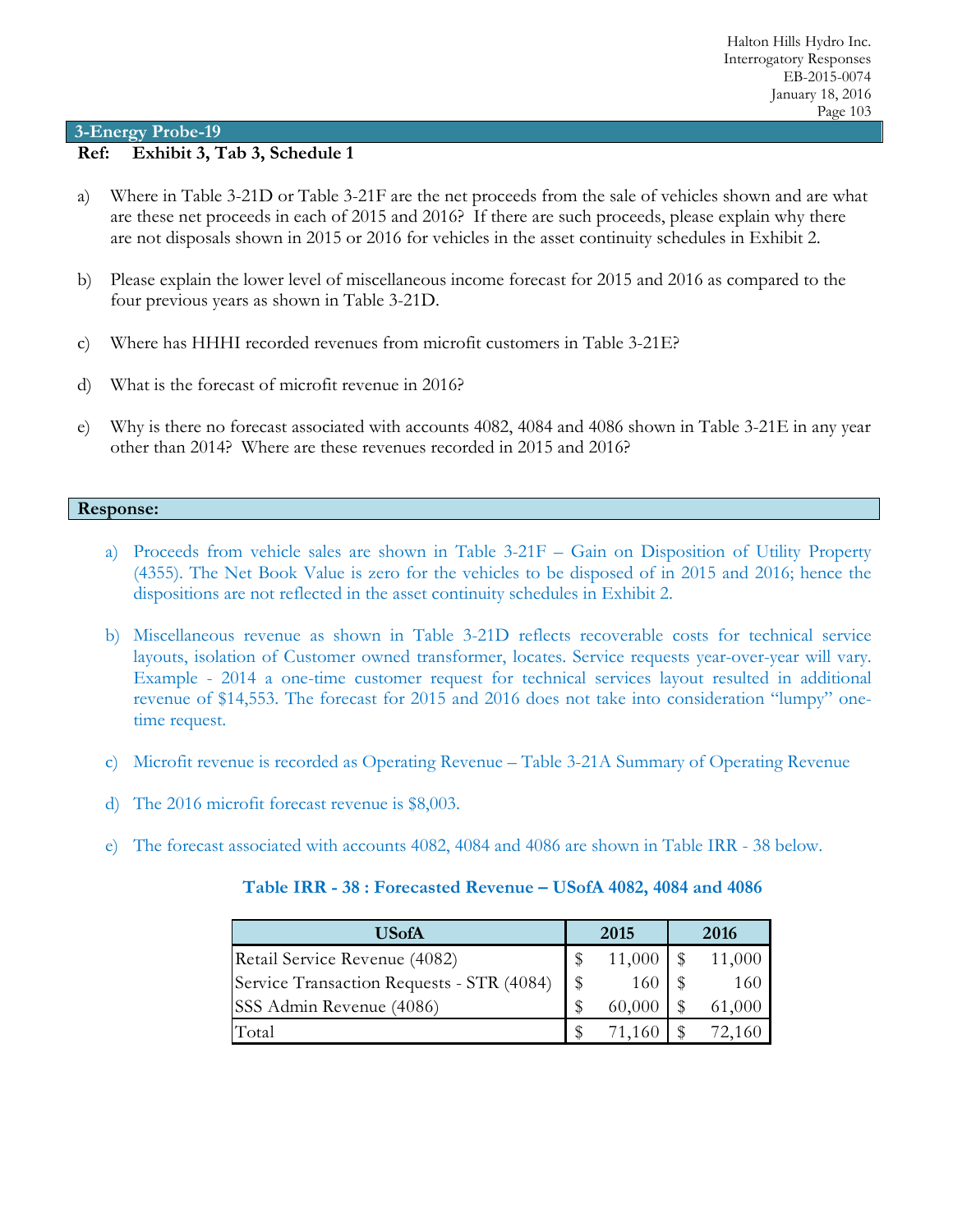### **Ref: Exhibit 3, Tab 3, Schedule 1**

- a) Where in Table 3-21D or Table 3-21F are the net proceeds from the sale of vehicles shown and are what are these net proceeds in each of 2015 and 2016? If there are such proceeds, please explain why there are not disposals shown in 2015 or 2016 for vehicles in the asset continuity schedules in Exhibit 2.
- b) Please explain the lower level of miscellaneous income forecast for 2015 and 2016 as compared to the four previous years as shown in Table 3-21D.
- c) Where has HHHI recorded revenues from microfit customers in Table 3-21E?
- d) What is the forecast of microfit revenue in 2016?
- e) Why is there no forecast associated with accounts 4082, 4084 and 4086 shown in Table 3-21E in any year other than 2014? Where are these revenues recorded in 2015 and 2016?

#### **Response:**

- a) Proceeds from vehicle sales are shown in Table 3-21F Gain on Disposition of Utility Property (4355). The Net Book Value is zero for the vehicles to be disposed of in 2015 and 2016; hence the dispositions are not reflected in the asset continuity schedules in Exhibit 2.
- b) Miscellaneous revenue as shown in Table 3-21D reflects recoverable costs for technical service layouts, isolation of Customer owned transformer, locates. Service requests year-over-year will vary. Example - 2014 a one-time customer request for technical services layout resulted in additional revenue of \$14,553. The forecast for 2015 and 2016 does not take into consideration "lumpy" onetime request.
- c) Microfit revenue is recorded as Operating Revenue Table 3-21A Summary of Operating Revenue
- d) The 2016 microfit forecast revenue is \$8,003.
- e) The forecast associated with accounts 4082, 4084 and 4086 are shown in Table IRR 38 below.

| Table IRR - 38 : Forecasted Revenue - USofA 4082, 4084 and 4086 |  |
|-----------------------------------------------------------------|--|
|-----------------------------------------------------------------|--|

| USofA                                     |  | 2015   | 2016   |
|-------------------------------------------|--|--------|--------|
| Retail Service Revenue (4082)             |  | 11,000 | 11,000 |
| Service Transaction Requests - STR (4084) |  | 160    | 160    |
| SSS Admin Revenue (4086)                  |  | 60,000 | 61,000 |
| Total                                     |  |        |        |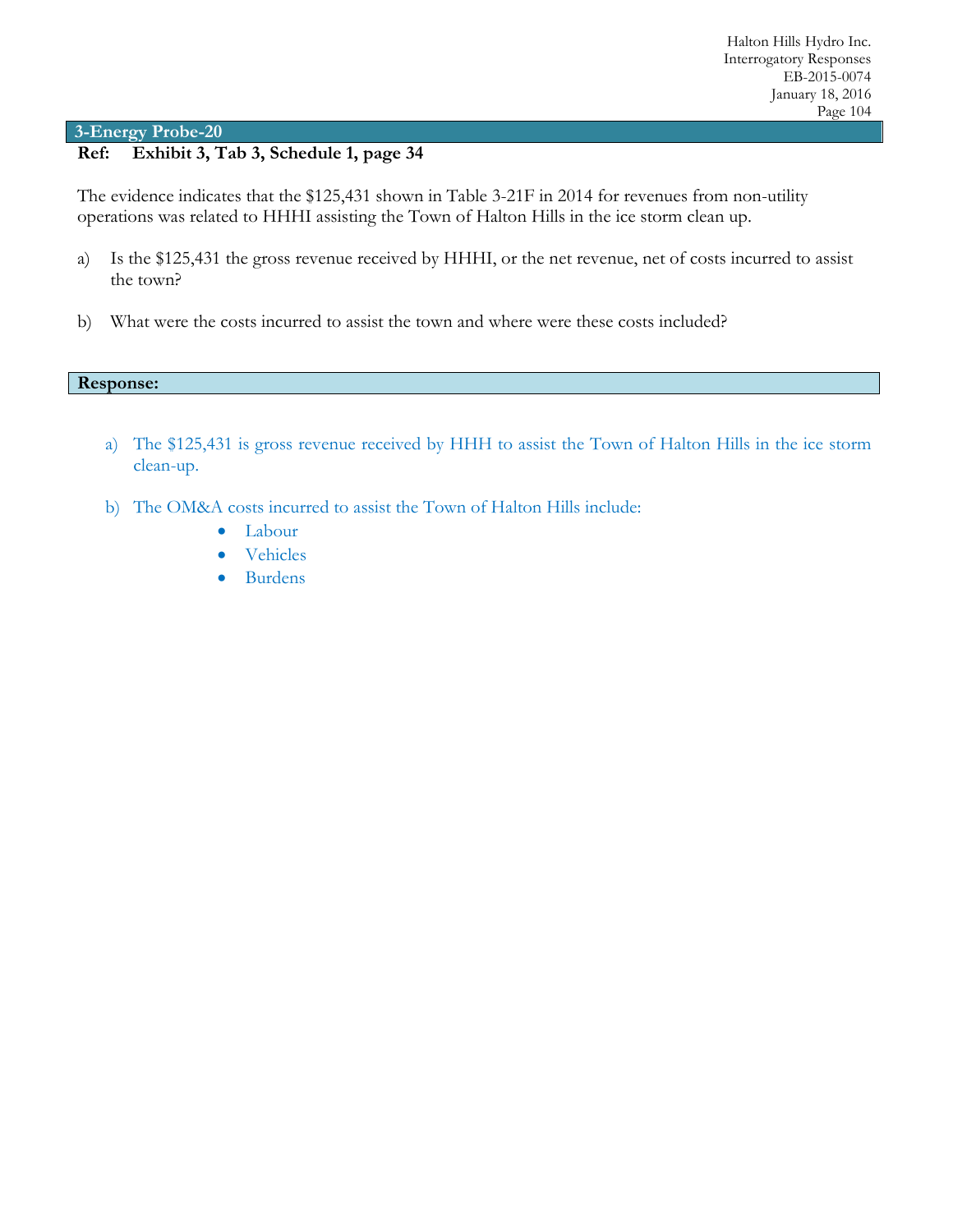# **Ref: Exhibit 3, Tab 3, Schedule 1, page 34**

The evidence indicates that the \$125,431 shown in Table 3-21F in 2014 for revenues from non-utility operations was related to HHHI assisting the Town of Halton Hills in the ice storm clean up.

- a) Is the \$125,431 the gross revenue received by HHHI, or the net revenue, net of costs incurred to assist the town?
- b) What were the costs incurred to assist the town and where were these costs included?

#### **Response:**

- a) The \$125,431 is gross revenue received by HHH to assist the Town of Halton Hills in the ice storm clean-up.
- b) The OM&A costs incurred to assist the Town of Halton Hills include:
	- Labour
	- Vehicles
	- Burdens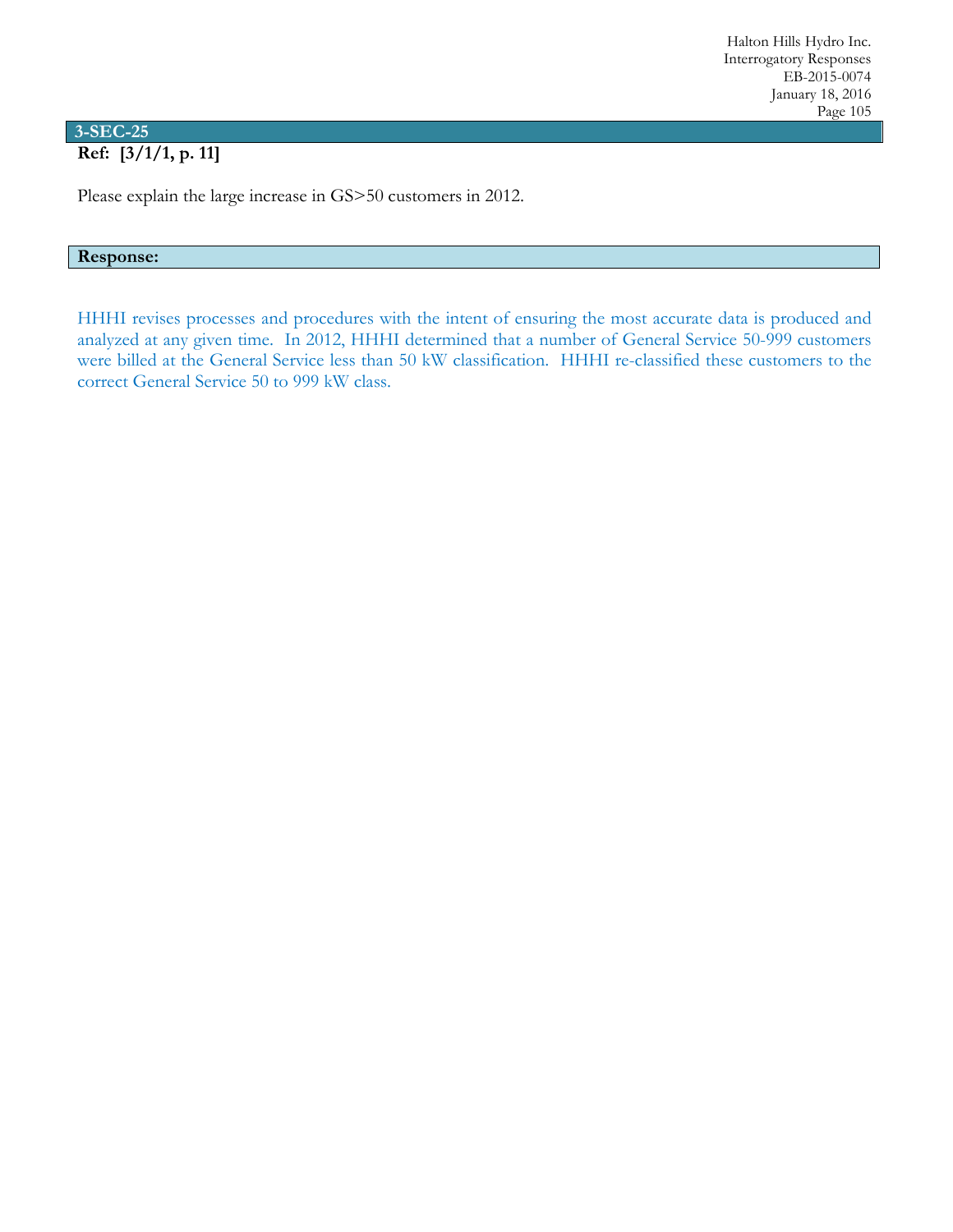# **3-SEC-25**

# **Ref: [3/1/1, p. 11]**

Please explain the large increase in GS>50 customers in 2012.

### **Response:**

HHHI revises processes and procedures with the intent of ensuring the most accurate data is produced and analyzed at any given time. In 2012, HHHI determined that a number of General Service 50-999 customers were billed at the General Service less than 50 kW classification. HHHI re-classified these customers to the correct General Service 50 to 999 kW class.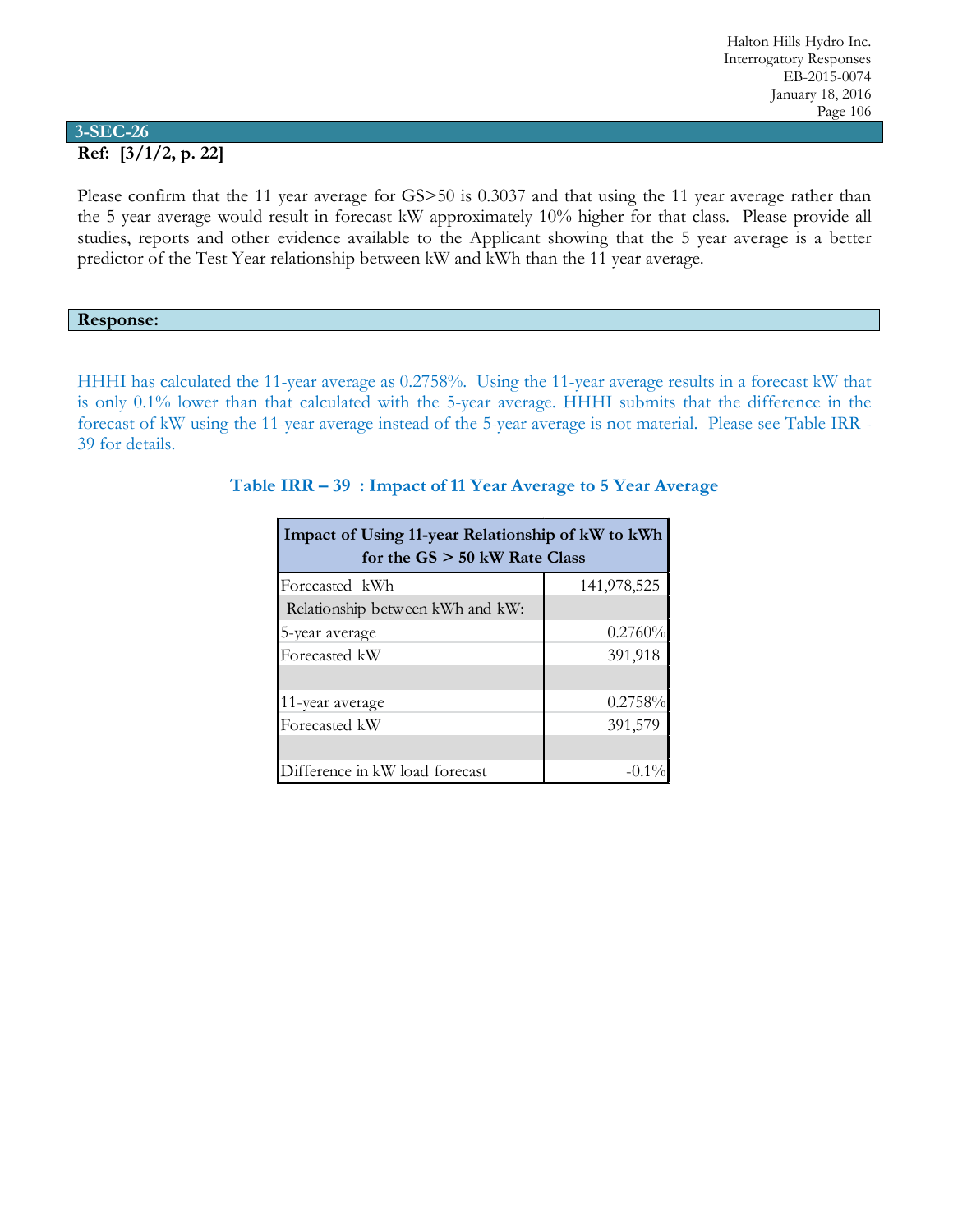### **3-SEC-26 Ref: [3/1/2, p. 22]**

Please confirm that the 11 year average for GS>50 is 0.3037 and that using the 11 year average rather than the 5 year average would result in forecast kW approximately 10% higher for that class. Please provide all studies, reports and other evidence available to the Applicant showing that the 5 year average is a better predictor of the Test Year relationship between kW and kWh than the 11 year average.

### **Response:**

HHHI has calculated the 11-year average as 0.2758%. Using the 11-year average results in a forecast kW that is only 0.1% lower than that calculated with the 5-year average. HHHI submits that the difference in the forecast of kW using the 11-year average instead of the 5-year average is not material. Please see Table IRR - 39 for details.

| Impact of Using 11-year Relationship of kW to kWh<br>for the $GS > 50$ kW Rate Class |             |  |  |  |  |  |
|--------------------------------------------------------------------------------------|-------------|--|--|--|--|--|
| Forecasted kWh                                                                       | 141,978,525 |  |  |  |  |  |
| Relationship between kWh and kW:                                                     |             |  |  |  |  |  |
| 5-year average                                                                       | 0.2760%     |  |  |  |  |  |
| Forecasted kW                                                                        | 391,918     |  |  |  |  |  |
|                                                                                      |             |  |  |  |  |  |
| 11-year average                                                                      | 0.2758%     |  |  |  |  |  |
| Forecasted kW                                                                        | 391,579     |  |  |  |  |  |
|                                                                                      |             |  |  |  |  |  |
| Difference in kW load forecast                                                       |             |  |  |  |  |  |

## **Table IRR – 39 : Impact of 11 Year Average to 5 Year Average**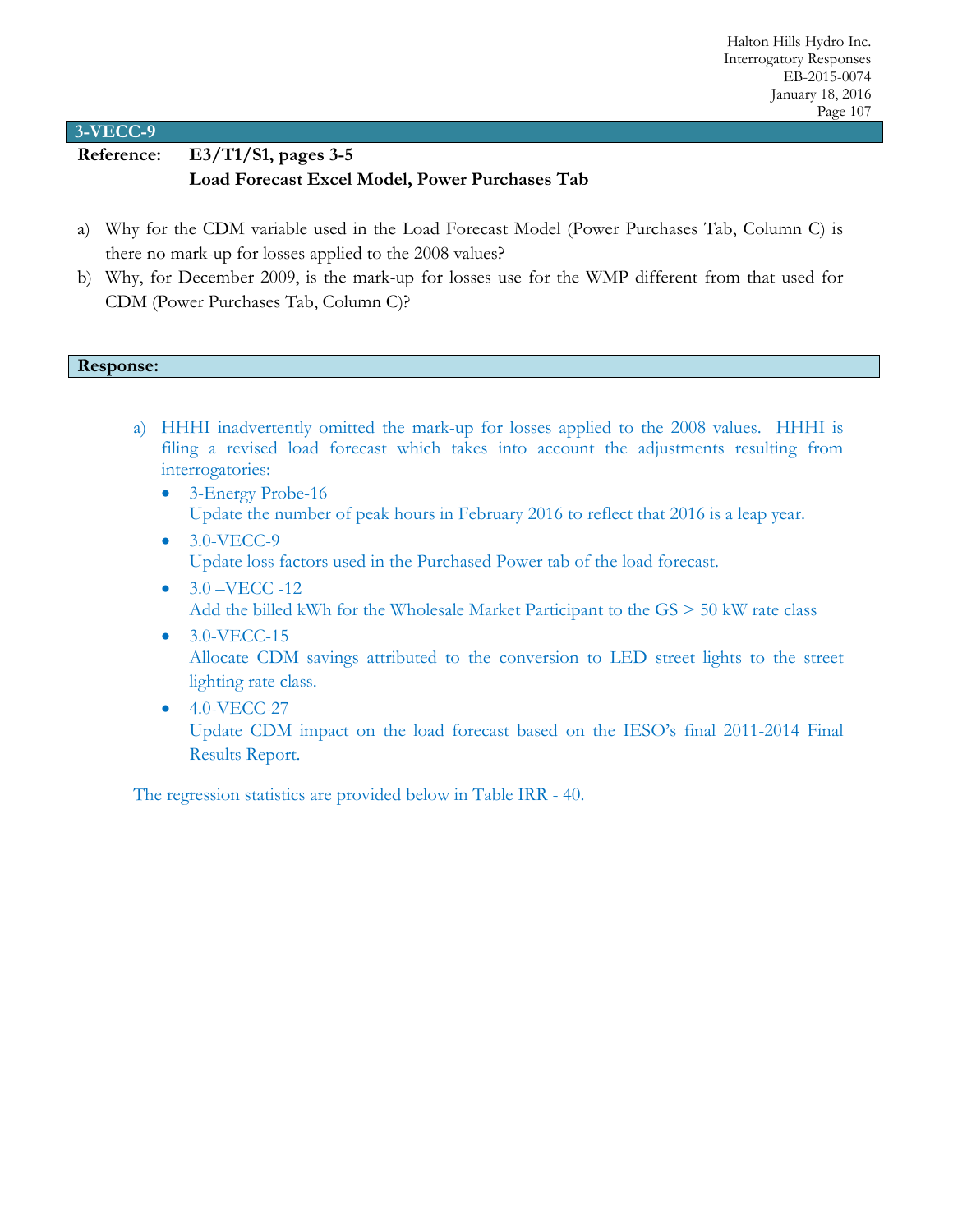**Reference: E3/T1/S1, pages 3-5**

## **Load Forecast Excel Model, Power Purchases Tab**

- a) Why for the CDM variable used in the Load Forecast Model (Power Purchases Tab, Column C) is there no mark-up for losses applied to the 2008 values?
- b) Why, for December 2009, is the mark-up for losses use for the WMP different from that used for CDM (Power Purchases Tab, Column C)?

### **Response:**

- a) HHHI inadvertently omitted the mark-up for losses applied to the 2008 values. HHHI is filing a revised load forecast which takes into account the adjustments resulting from interrogatories:
	- 3-Energy Probe-16 Update the number of peak hours in February 2016 to reflect that 2016 is a leap year.
	- 3.0-VECC-9 Update loss factors used in the Purchased Power tab of the load forecast.
	- $3.0 VECC 12$ Add the billed kWh for the Wholesale Market Participant to the GS > 50 kW rate class
	- $\bullet$  3.0-VECC-15 Allocate CDM savings attributed to the conversion to LED street lights to the street lighting rate class.
	- 4.0-VECC-27

Update CDM impact on the load forecast based on the IESO's final 2011-2014 Final Results Report.

The regression statistics are provided below in Table IRR - 40.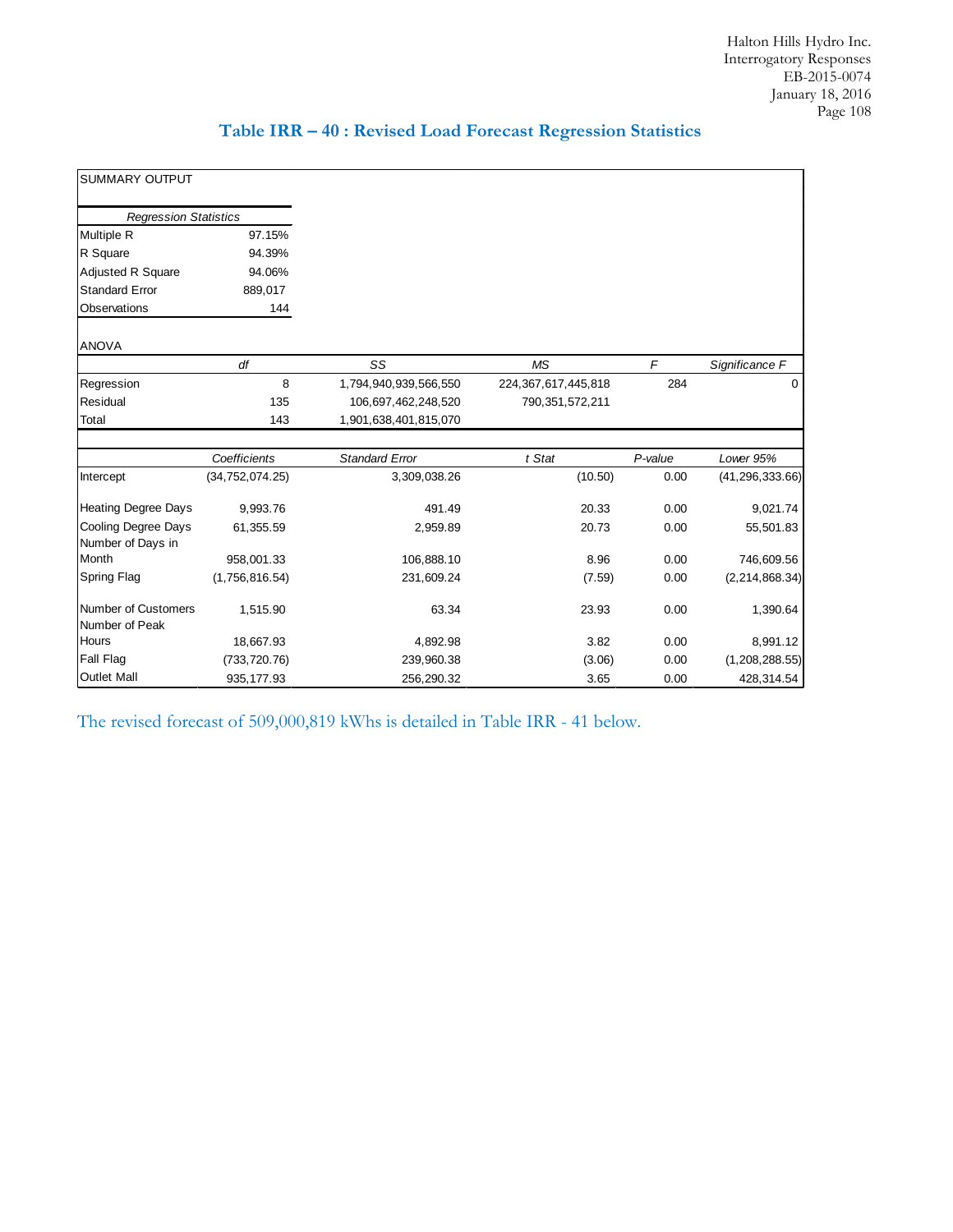|  |  |  |  |  |  |  |  | Table IRR - 40 : Revised Load Forecast Regression Statistics |
|--|--|--|--|--|--|--|--|--------------------------------------------------------------|
|--|--|--|--|--|--|--|--|--------------------------------------------------------------|

| <b>SUMMARY OUTPUT</b>                        |                   |                       |                     |            |                   |
|----------------------------------------------|-------------------|-----------------------|---------------------|------------|-------------------|
| <b>Regression Statistics</b>                 |                   |                       |                     |            |                   |
| <b>Multiple R</b>                            | 97.15%            |                       |                     |            |                   |
| R Square                                     | 94.39%            |                       |                     |            |                   |
| Adjusted R Square                            | 94.06%            |                       |                     |            |                   |
| <b>Standard Error</b>                        | 889,017           |                       |                     |            |                   |
| Observations                                 | 144               |                       |                     |            |                   |
| <b>ANOVA</b>                                 |                   |                       |                     |            |                   |
|                                              | df                | SS                    | <b>MS</b>           | $\sqrt{2}$ | Significance F    |
| Regression                                   | 8                 | 1,794,940,939,566,550 | 224,367,617,445,818 | 284        | 0                 |
| Residual                                     | 135               | 106,697,462,248,520   | 790,351,572,211     |            |                   |
| Total                                        | 143               | 1,901,638,401,815,070 |                     |            |                   |
|                                              | Coefficients      | <b>Standard Error</b> | t Stat              | P-value    | Lower 95%         |
| Intercept                                    | (34, 752, 074.25) | 3,309,038.26          | (10.50)             | 0.00       | (41, 296, 333.66) |
| <b>Heating Degree Days</b>                   | 9,993.76          | 491.49                | 20.33               | 0.00       | 9,021.74          |
| Cooling Degree Days<br>Number of Days in     | 61,355.59         | 2,959.89              | 20.73               | 0.00       | 55,501.83         |
| Month                                        | 958,001.33        | 106,888.10            | 8.96                | 0.00       | 746,609.56        |
| <b>Spring Flag</b>                           | (1,756,816.54)    | 231,609.24            | (7.59)              | 0.00       | (2, 214, 868.34)  |
| <b>Number of Customers</b><br>Number of Peak | 1,515.90          | 63.34                 | 23.93               | 0.00       | 1,390.64          |
| Hours                                        | 18,667.93         | 4,892.98              | 3.82                | 0.00       | 8,991.12          |
| <b>Fall Flag</b>                             | (733, 720.76)     | 239,960.38            | (3.06)              | 0.00       | (1,208,288.55)    |
| <b>Outlet Mall</b>                           | 935, 177.93       | 256,290.32            | 3.65                | 0.00       | 428,314.54        |

The revised forecast of 509,000,819 kWhs is detailed in Table IRR - 41 below.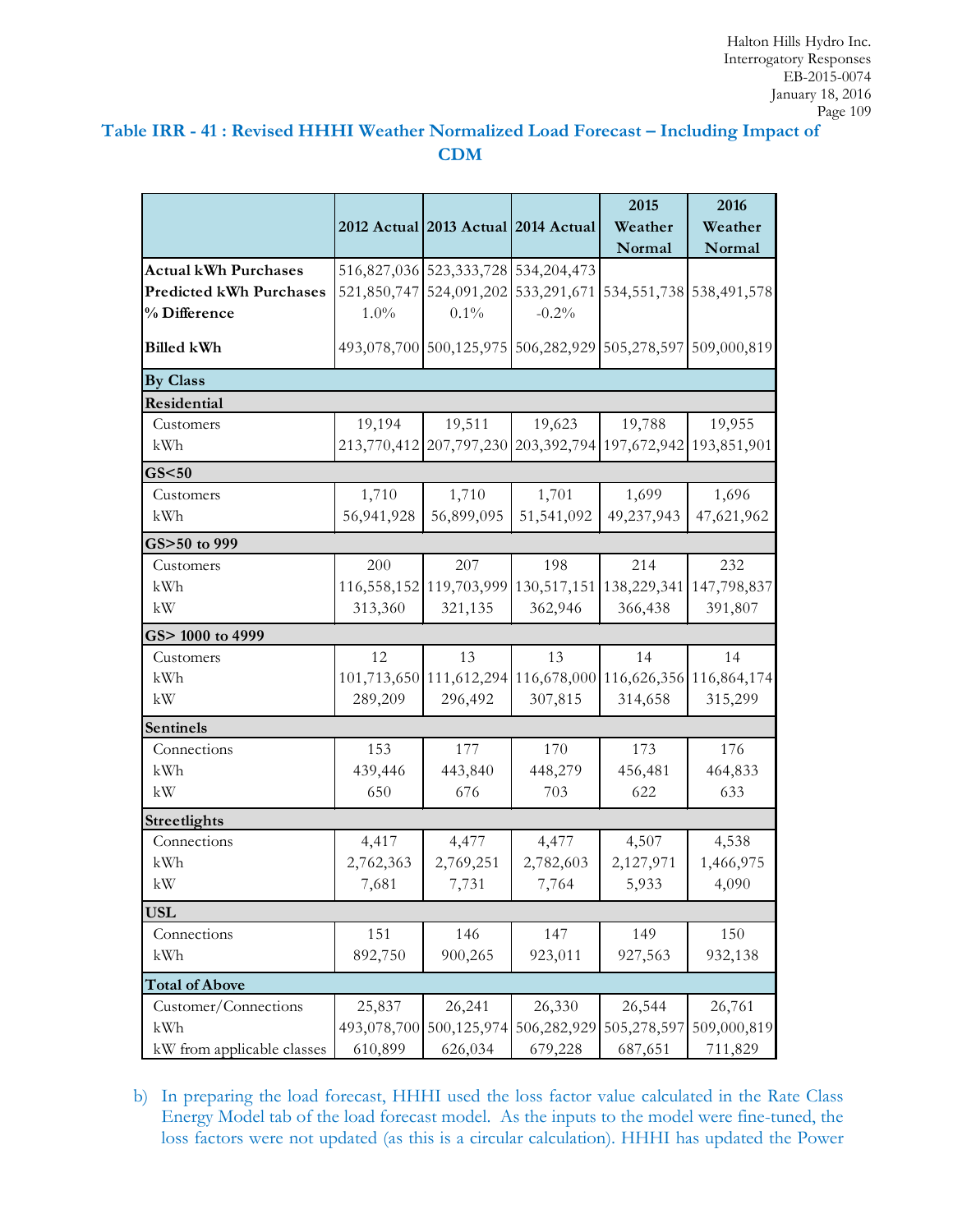# **Table IRR - 41 : Revised HHHI Weather Normalized Load Forecast – Including Impact of CDM**

|                                |             |                                                             |             | 2015        | 2016        |
|--------------------------------|-------------|-------------------------------------------------------------|-------------|-------------|-------------|
|                                |             | 2012 Actual 2013 Actual 2014 Actual                         |             | Weather     | Weather     |
|                                |             |                                                             |             | Normal      | Normal      |
| <b>Actual kWh Purchases</b>    |             | 516,827,036 523,333,728 534,204,473                         |             |             |             |
| <b>Predicted kWh Purchases</b> |             | 521,850,747 524,091,202 533,291,671 534,551,738 538,491,578 |             |             |             |
| % Difference                   | $1.0\%$     | 0.1%                                                        | $-0.2%$     |             |             |
| <b>Billed kWh</b>              |             | 493,078,700 500,125,975 506,282,929 505,278,597 509,000,819 |             |             |             |
| <b>By Class</b>                |             |                                                             |             |             |             |
| Residential                    |             |                                                             |             |             |             |
| Customers                      | 19,194      | 19,511                                                      | 19,623      | 19,788      | 19,955      |
| kWh                            |             | 213,770,412 207,797,230 203,392,794 197,672,942 193,851,901 |             |             |             |
| GS < 50                        |             |                                                             |             |             |             |
| Customers                      | 1,710       | 1,710                                                       | 1,701       | 1,699       | 1,696       |
| kWh                            | 56,941,928  | 56,899,095                                                  | 51,541,092  | 49,237,943  | 47,621,962  |
| GS>50 to 999                   |             |                                                             |             |             |             |
| Customers                      | 200         | 207                                                         | 198         | 214         | 232         |
| kWh                            | 116,558,152 | 119,703,999                                                 | 130,517,151 | 138,229,341 | 147,798,837 |
| kW                             | 313,360     | 321,135                                                     | 362,946     | 366,438     | 391,807     |
| GS> 1000 to 4999               |             |                                                             |             |             |             |
| Customers                      | 12          | 13                                                          | 13          | 14          | 14          |
| kWh                            | 101,713,650 | 111,612,294                                                 | 116,678,000 | 116,626,356 | 116,864,174 |
| kW                             | 289,209     | 296,492                                                     | 307,815     | 314,658     | 315,299     |
| <b>Sentinels</b>               |             |                                                             |             |             |             |
| Connections                    | 153         | 177                                                         | 170         | 173         | 176         |
| kWh                            | 439,446     | 443,840                                                     | 448,279     | 456,481     | 464,833     |
| kW                             | 650         | 676                                                         | 703         | 622         | 633         |
| Streetlights                   |             |                                                             |             |             |             |
| Connections                    | 4,417       | 4,477                                                       | 4,477       | 4,507       | 4,538       |
| kWh                            | 2,762,363   | 2,769,251                                                   | 2,782,603   | 2,127,971   | 1,466,975   |
| kW                             | 7,681       | 7,731                                                       | 7,764       | 5,933       | 4,090       |
| <b>USL</b>                     |             |                                                             |             |             |             |
| Connections                    | 151         | 146                                                         | 147         | 149         | 150         |
| kWh                            | 892,750     | 900,265                                                     | 923,011     | 927,563     | 932,138     |
| <b>Total of Above</b>          |             |                                                             |             |             |             |
| Customer/Connections           | 25,837      | 26,241                                                      | 26,330      | 26,544      | 26,761      |
| kWh                            | 493,078,700 | 500,125,974                                                 | 506,282,929 | 505,278,597 | 509,000,819 |
| kW from applicable classes     | 610,899     | 626,034                                                     | 679,228     | 687,651     | 711,829     |

b) In preparing the load forecast, HHHI used the loss factor value calculated in the Rate Class Energy Model tab of the load forecast model. As the inputs to the model were fine-tuned, the loss factors were not updated (as this is a circular calculation). HHHI has updated the Power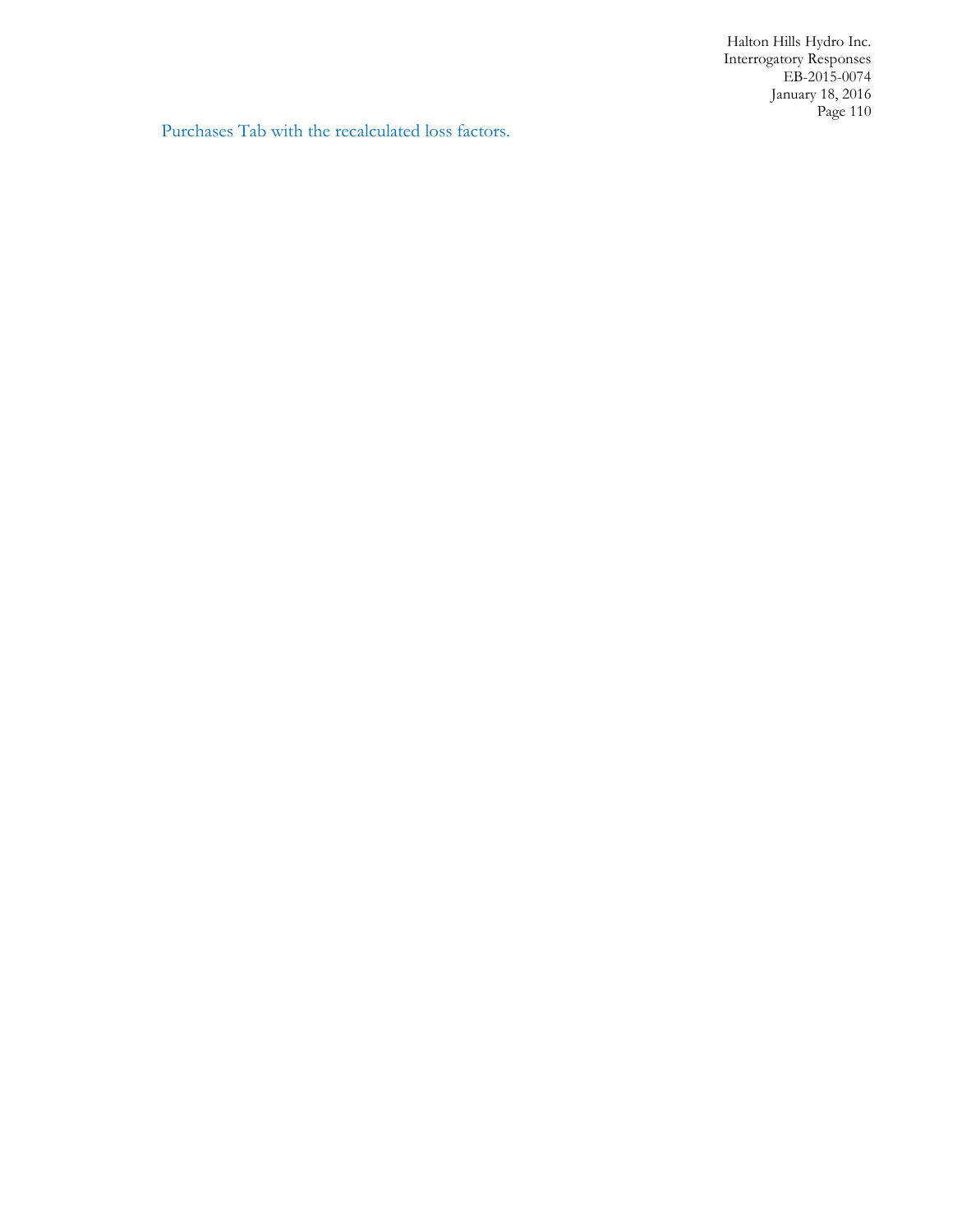Purchases Tab with the recalculated loss factors.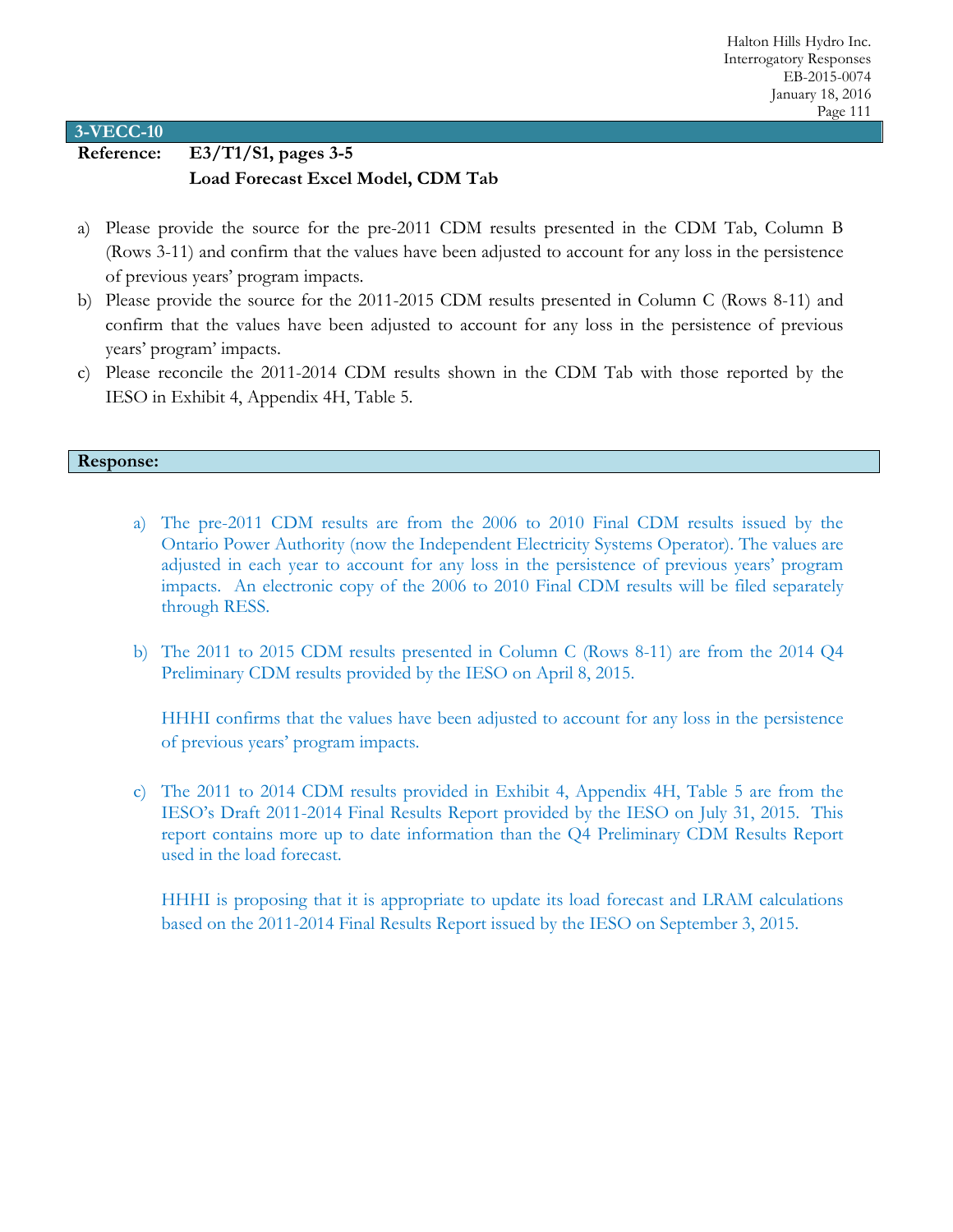# **Reference: E3/T1/S1, pages 3-5 Load Forecast Excel Model, CDM Tab**

- a) Please provide the source for the pre-2011 CDM results presented in the CDM Tab, Column B (Rows 3-11) and confirm that the values have been adjusted to account for any loss in the persistence of previous years' program impacts.
- b) Please provide the source for the 2011-2015 CDM results presented in Column C (Rows 8-11) and confirm that the values have been adjusted to account for any loss in the persistence of previous years' program' impacts.
- c) Please reconcile the 2011-2014 CDM results shown in the CDM Tab with those reported by the IESO in Exhibit 4, Appendix 4H, Table 5.

### **Response:**

- a) The pre-2011 CDM results are from the 2006 to 2010 Final CDM results issued by the Ontario Power Authority (now the Independent Electricity Systems Operator). The values are adjusted in each year to account for any loss in the persistence of previous years' program impacts. An electronic copy of the 2006 to 2010 Final CDM results will be filed separately through RESS.
- b) The 2011 to 2015 CDM results presented in Column C (Rows 8-11) are from the 2014 Q4 Preliminary CDM results provided by the IESO on April 8, 2015.

HHHI confirms that the values have been adjusted to account for any loss in the persistence of previous years' program impacts.

c) The 2011 to 2014 CDM results provided in Exhibit 4, Appendix 4H, Table 5 are from the IESO's Draft 2011-2014 Final Results Report provided by the IESO on July 31, 2015. This report contains more up to date information than the Q4 Preliminary CDM Results Report used in the load forecast.

HHHI is proposing that it is appropriate to update its load forecast and LRAM calculations based on the 2011-2014 Final Results Report issued by the IESO on September 3, 2015.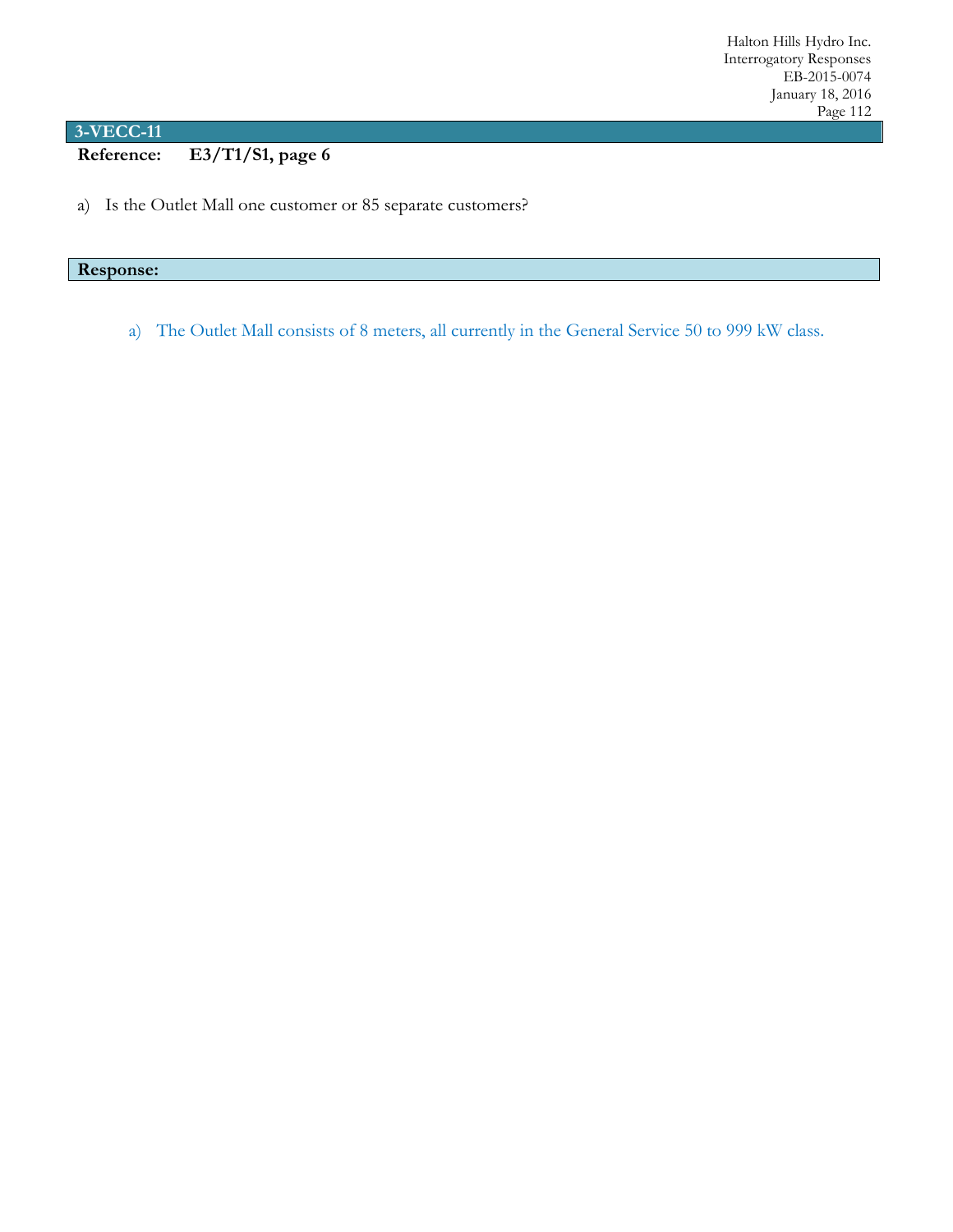**Reference: E3/T1/S1, page 6**

a) Is the Outlet Mall one customer or 85 separate customers?

# **Response:**

a) The Outlet Mall consists of 8 meters, all currently in the General Service 50 to 999 kW class.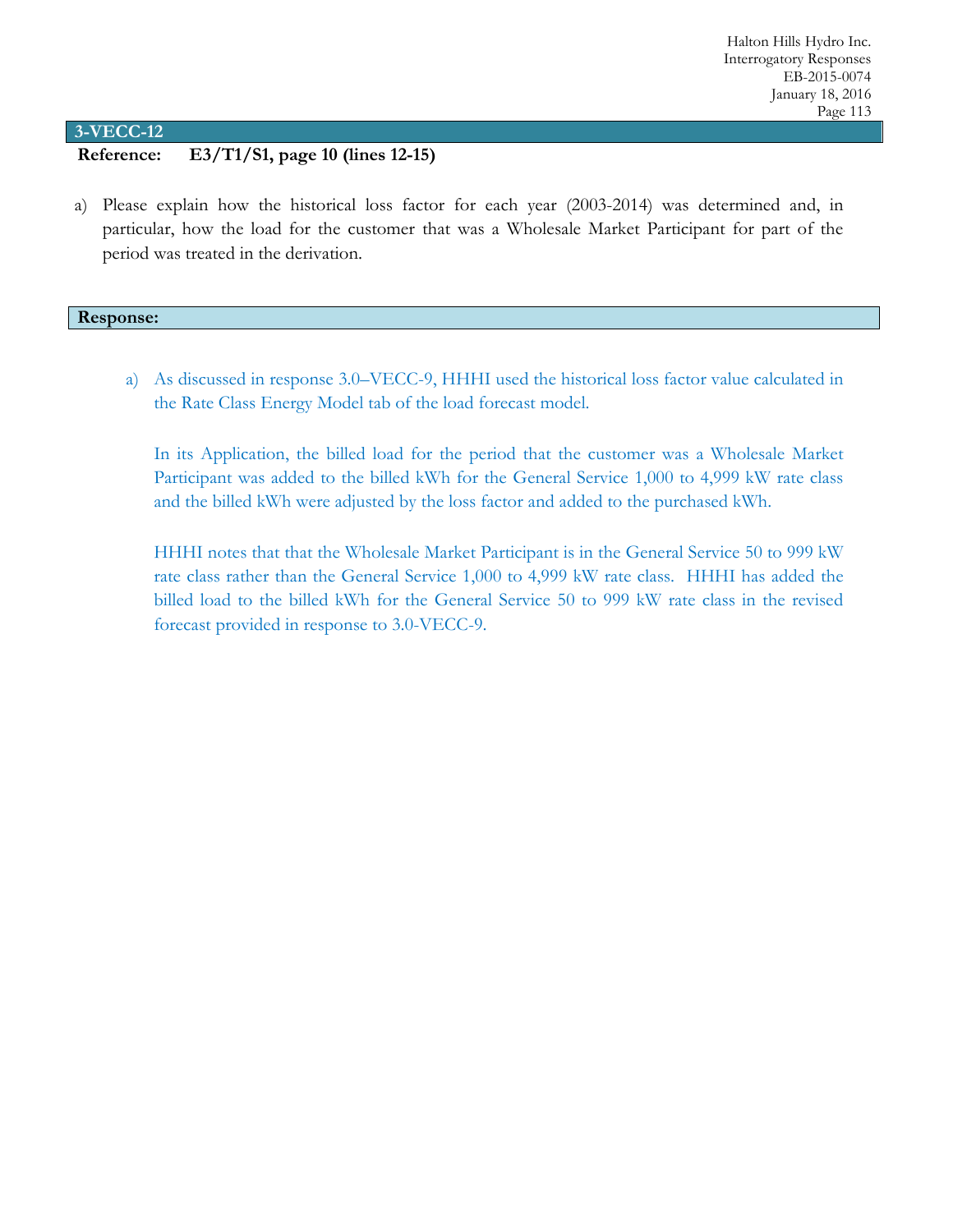# **Reference: E3/T1/S1, page 10 (lines 12-15)**

a) Please explain how the historical loss factor for each year (2003-2014) was determined and, in particular, how the load for the customer that was a Wholesale Market Participant for part of the period was treated in the derivation.

#### **Response:**

a) As discussed in response 3.0–VECC-9, HHHI used the historical loss factor value calculated in the Rate Class Energy Model tab of the load forecast model.

In its Application, the billed load for the period that the customer was a Wholesale Market Participant was added to the billed kWh for the General Service 1,000 to 4,999 kW rate class and the billed kWh were adjusted by the loss factor and added to the purchased kWh.

HHHI notes that that the Wholesale Market Participant is in the General Service 50 to 999 kW rate class rather than the General Service 1,000 to 4,999 kW rate class. HHHI has added the billed load to the billed kWh for the General Service 50 to 999 kW rate class in the revised forecast provided in response to 3.0-VECC-9.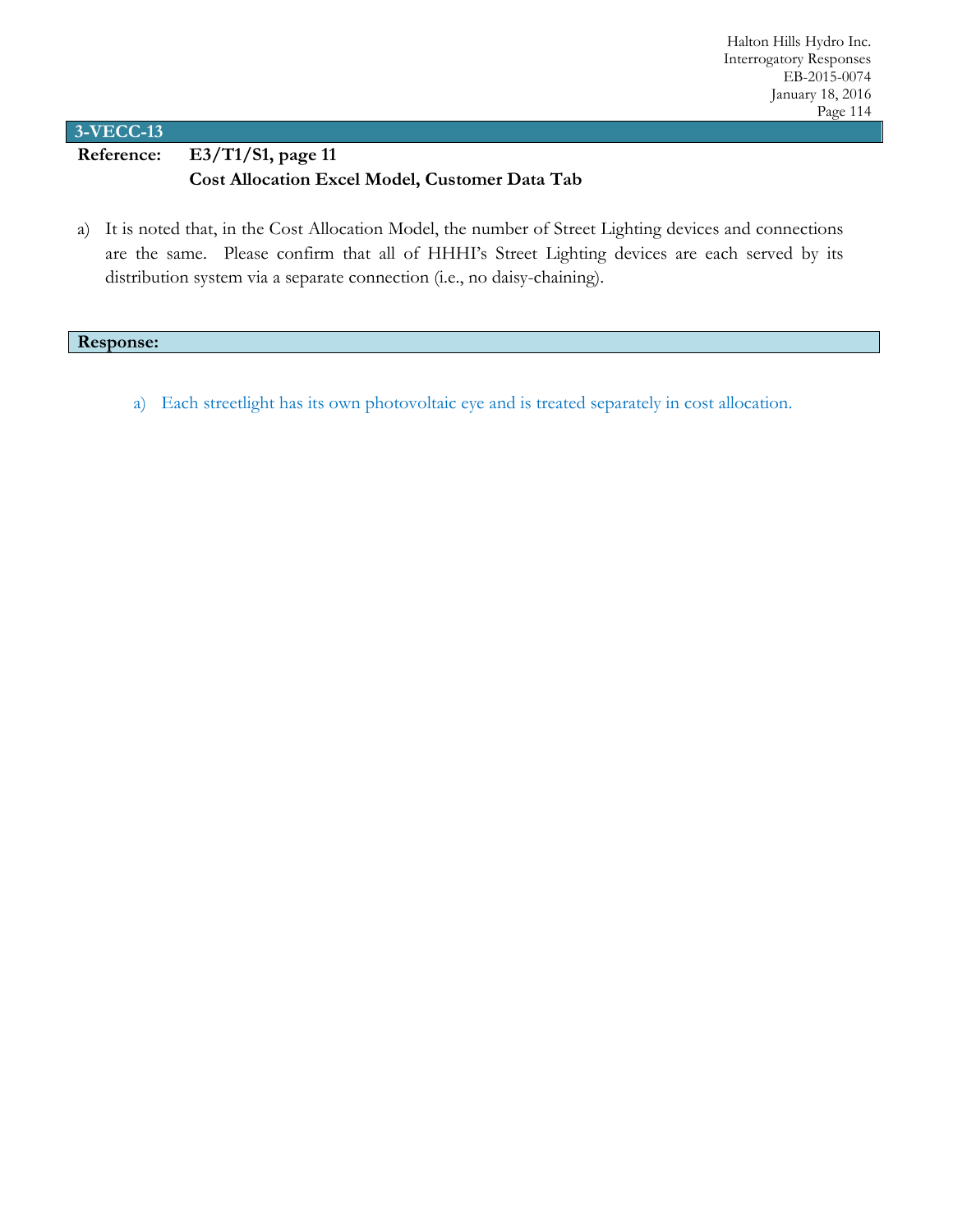**Reference: E3/T1/S1, page 11 Cost Allocation Excel Model, Customer Data Tab**

a) It is noted that, in the Cost Allocation Model, the number of Street Lighting devices and connections are the same. Please confirm that all of HHHI's Street Lighting devices are each served by its distribution system via a separate connection (i.e., no daisy-chaining).

### **Response:**

a) Each streetlight has its own photovoltaic eye and is treated separately in cost allocation.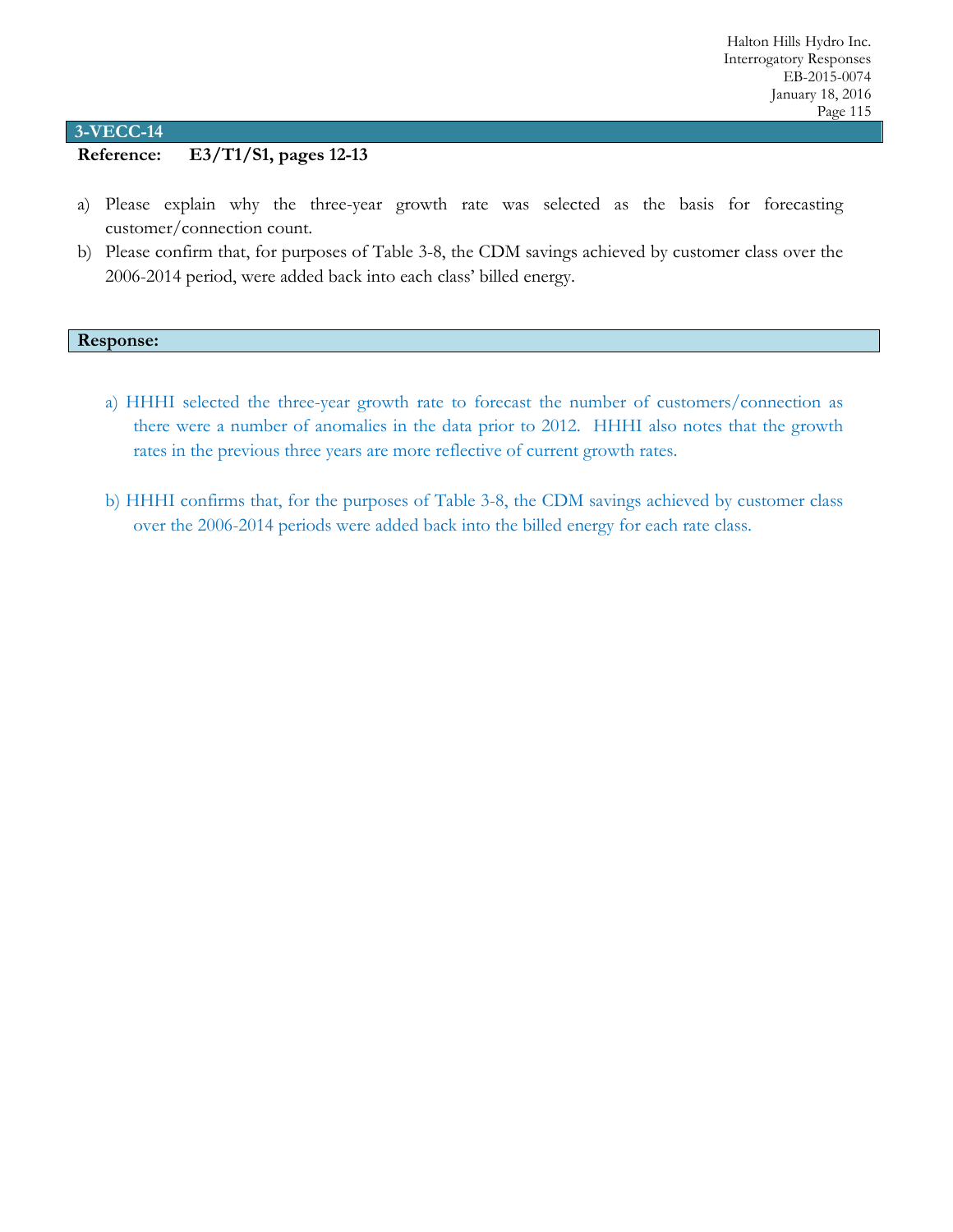# **Reference: E3/T1/S1, pages 12-13**

- a) Please explain why the three-year growth rate was selected as the basis for forecasting customer/connection count.
- b) Please confirm that, for purposes of Table 3-8, the CDM savings achieved by customer class over the 2006-2014 period, were added back into each class' billed energy.

#### **Response:**

- a) HHHI selected the three-year growth rate to forecast the number of customers/connection as there were a number of anomalies in the data prior to 2012. HHHI also notes that the growth rates in the previous three years are more reflective of current growth rates.
- b) HHHI confirms that, for the purposes of Table 3-8, the CDM savings achieved by customer class over the 2006-2014 periods were added back into the billed energy for each rate class.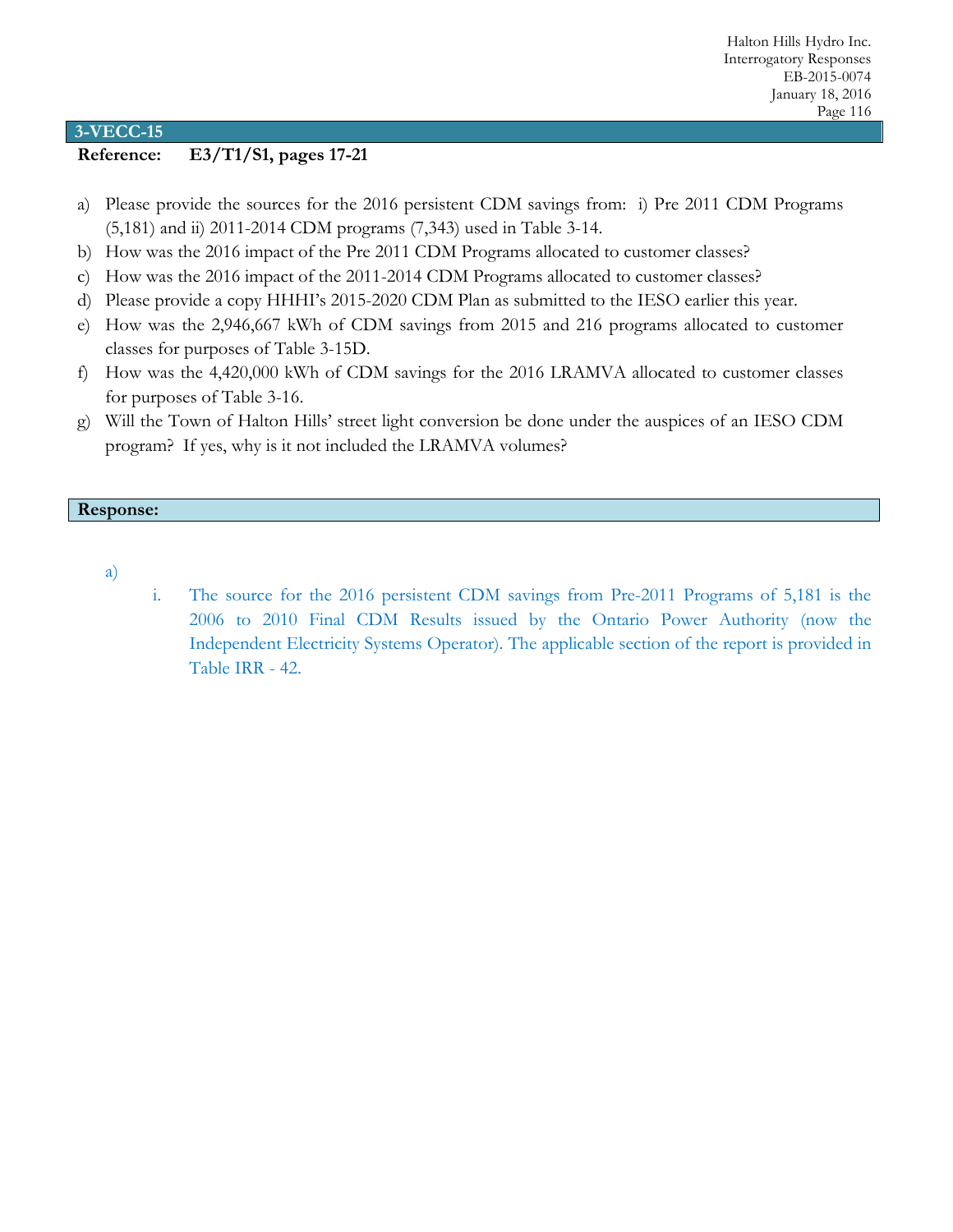# **Reference: E3/T1/S1, pages 17-21**

- a) Please provide the sources for the 2016 persistent CDM savings from: i) Pre 2011 CDM Programs (5,181) and ii) 2011-2014 CDM programs (7,343) used in Table 3-14.
- b) How was the 2016 impact of the Pre 2011 CDM Programs allocated to customer classes?
- c) How was the 2016 impact of the 2011-2014 CDM Programs allocated to customer classes?
- d) Please provide a copy HHHI's 2015-2020 CDM Plan as submitted to the IESO earlier this year.
- e) How was the 2,946,667 kWh of CDM savings from 2015 and 216 programs allocated to customer classes for purposes of Table 3-15D.
- f) How was the 4,420,000 kWh of CDM savings for the 2016 LRAMVA allocated to customer classes for purposes of Table 3-16.
- g) Will the Town of Halton Hills' street light conversion be done under the auspices of an IESO CDM program? If yes, why is it not included the LRAMVA volumes?

### **Response:**

- a)
- i. The source for the 2016 persistent CDM savings from Pre-2011 Programs of 5,181 is the 2006 to 2010 Final CDM Results issued by the Ontario Power Authority (now the Independent Electricity Systems Operator). The applicable section of the report is provided in Table IRR - 42.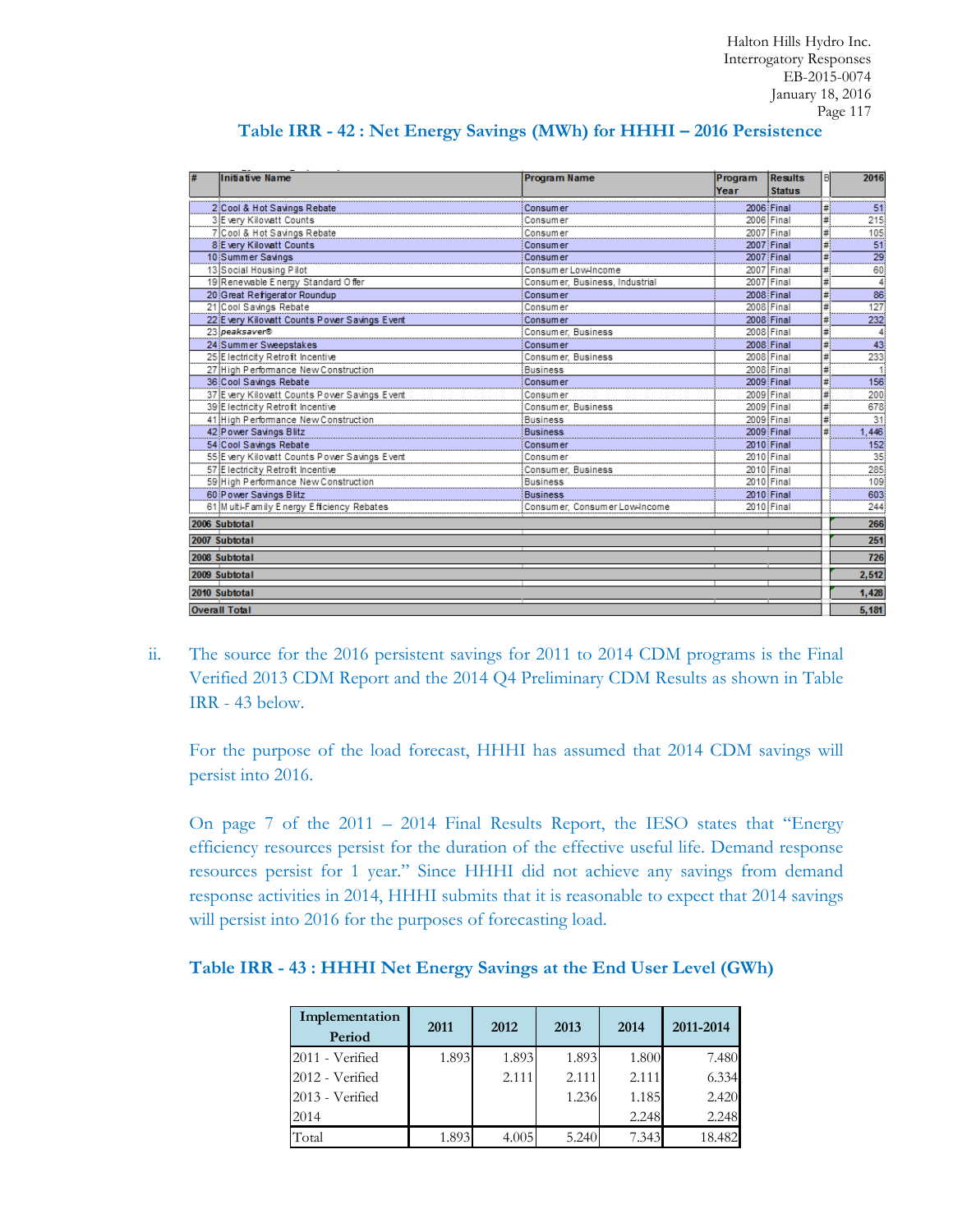| Initiative Name                              | <b>Program Name</b>            | Program | <b>Results</b> | B  | 2016            |
|----------------------------------------------|--------------------------------|---------|----------------|----|-----------------|
|                                              |                                | Year    | <b>Status</b>  |    |                 |
| 2 Cool & Hot Savings Rebate                  | Consum er                      |         | 2006 Final     | #  | 51              |
| 3 E very Kilowatt Counts                     | Consumer                       |         | 2006 Final     | #1 | 215             |
| 7 Cool & Hot Savings Rebate                  | Consumer                       |         | 2007 Final     | #  | 105             |
| 8 Every Kilowatt Counts                      | <b>Consumer</b>                |         | 2007 Final     | #! | 51              |
| 10 Summer Savings                            | <b>Consumer</b>                |         | 2007 Final     | #  | $\overline{29}$ |
| 13 Social Housing Pilot                      | Consumer Low-Income            |         | 2007 Final     | #  | 60              |
| 19 Renewable Energy Standard Offer           | Consumer, Business, Industrial |         | 2007 Final     | #  | 4               |
| 20 Great Refigerator Roundup                 | Consumer                       |         | 2008 Final     | #  | 86              |
| 21 Cool Savings Rebate                       | Consumer                       |         | 2008 Final     | #  | $\frac{1}{27}$  |
| 22 Every Kilowatt Counts Power Savings Event | <b>Consumer</b>                |         | 2008 Final     | #  | 232             |
| 23 peaksaver®                                | Consumer, Business             |         | 2008 Final     | #  |                 |
| 24 Summer Sweepstakes                        | <b>Consumer</b>                |         | 2008 Final     | #  | 43              |
| 25 E lectricity Retroft Incentive            | Consumer, Business             |         | 2008 Final     | #  | 233             |
| 27 High Performance New Construction         | Business                       |         | 2008 Final     | #  |                 |
| 36 Cool Savings Rebate                       | <b>Consumer</b>                |         | 2009 Final     |    | 156             |
| 37 Every Kilowatt Counts Power Savings Event | Consumer                       |         | 2009 Final     | #  | 200             |
| 39 E lectricity Retroft Incentive            | Consumer, Business             |         | 2009 Final     | #  | 678             |
| 41 High Performance New Construction         | <b>Business</b>                |         | 2009 Final     |    | 31              |
| 42 Power Savings Blitz                       | <b>Business</b>                |         | 2009 Final     | #  | 1,446           |
| 54 Cool Savings Rebate                       | Consum er                      |         | 2010 Final     |    | 152             |
| 55 Every Kilowatt Counts Power Savings Event | Consum er                      |         | 2010 Final     |    | 35              |
| 57 E lectricity Retroft Incentive            | Consumer, Business             |         | 2010 Final     |    | 285             |
| 59 High Performance New Construction         | <b>Business</b>                |         | 2010 Final     |    | 109             |
| 60 Power Savings Blitz                       | <b>Business</b>                |         | 2010 Final     |    | 603             |
| 61 M ulti-Family Energy Efficiency Rebates   | Consumer, Consumer Low-Income  |         | 2010 Final     |    | 244             |
| 2006 Subtotal                                |                                |         |                |    | 266             |
| 2007 Subtotal                                |                                |         |                |    | 251             |
| 2008 Subtotal                                |                                |         |                |    | 726             |
| 2009 Subtotal                                |                                |         |                |    | 2,512           |
| 2010 Subtotal                                |                                |         |                |    | 1.428           |
| <b>Overall Total</b>                         |                                |         |                |    | 5,181           |

### **Table IRR - 42 : Net Energy Savings (MWh) for HHHI – 2016 Persistence**

ii. The source for the 2016 persistent savings for 2011 to 2014 CDM programs is the Final Verified 2013 CDM Report and the 2014 Q4 Preliminary CDM Results as shown in Table IRR - 43 below.

For the purpose of the load forecast, HHHI has assumed that 2014 CDM savings will persist into 2016.

On page 7 of the 2011 – 2014 Final Results Report, the IESO states that "Energy efficiency resources persist for the duration of the effective useful life. Demand response resources persist for 1 year." Since HHHI did not achieve any savings from demand response activities in 2014, HHHI submits that it is reasonable to expect that 2014 savings will persist into 2016 for the purposes of forecasting load.

### **Table IRR - 43 : HHHI Net Energy Savings at the End User Level (GWh)**

| Implementation<br>Period | 2011  | 2012  | 2013  | 2014  | 2011-2014 |
|--------------------------|-------|-------|-------|-------|-----------|
| 2011 - Verified          | 1.893 | 1.893 | 1.893 | 1.800 | 7.480     |
| 2012 - Verified          |       | 2.111 | 2.111 | 2.111 | 6.334     |
| 2013 - Verified          |       |       | 1.236 | 1.185 | 2.420     |
| 2014                     |       |       |       | 2.248 | 2.248     |
| Total                    | 1.893 | 4.005 | 5.240 | 7.343 | 18.482    |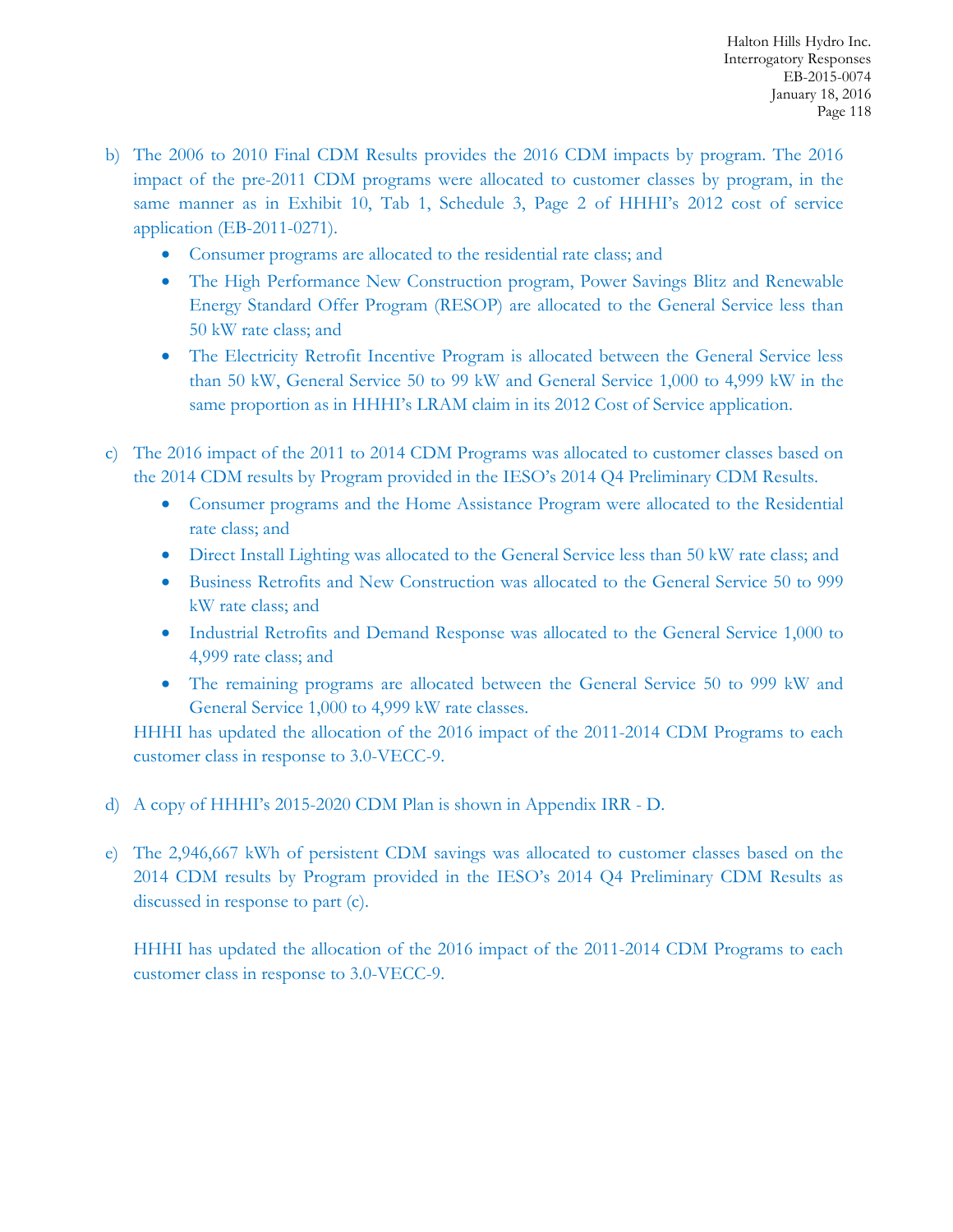- b) The 2006 to 2010 Final CDM Results provides the 2016 CDM impacts by program. The 2016 impact of the pre-2011 CDM programs were allocated to customer classes by program, in the same manner as in Exhibit 10, Tab 1, Schedule 3, Page 2 of HHHI's 2012 cost of service application (EB-2011-0271).
	- Consumer programs are allocated to the residential rate class; and
	- The High Performance New Construction program, Power Savings Blitz and Renewable Energy Standard Offer Program (RESOP) are allocated to the General Service less than 50 kW rate class; and
	- The Electricity Retrofit Incentive Program is allocated between the General Service less than 50 kW, General Service 50 to 99 kW and General Service 1,000 to 4,999 kW in the same proportion as in HHHI's LRAM claim in its 2012 Cost of Service application.
- c) The 2016 impact of the 2011 to 2014 CDM Programs was allocated to customer classes based on the 2014 CDM results by Program provided in the IESO's 2014 Q4 Preliminary CDM Results.
	- Consumer programs and the Home Assistance Program were allocated to the Residential rate class; and
	- Direct Install Lighting was allocated to the General Service less than 50 kW rate class; and
	- Business Retrofits and New Construction was allocated to the General Service 50 to 999 kW rate class; and
	- Industrial Retrofits and Demand Response was allocated to the General Service 1,000 to 4,999 rate class; and
	- The remaining programs are allocated between the General Service 50 to 999 kW and General Service 1,000 to 4,999 kW rate classes.

HHHI has updated the allocation of the 2016 impact of the 2011-2014 CDM Programs to each customer class in response to 3.0-VECC-9.

- d) A copy of HHHI's 2015-2020 CDM Plan is shown in Appendix IRR D.
- e) The 2,946,667 kWh of persistent CDM savings was allocated to customer classes based on the 2014 CDM results by Program provided in the IESO's 2014 Q4 Preliminary CDM Results as discussed in response to part (c).

HHHI has updated the allocation of the 2016 impact of the 2011-2014 CDM Programs to each customer class in response to 3.0-VECC-9.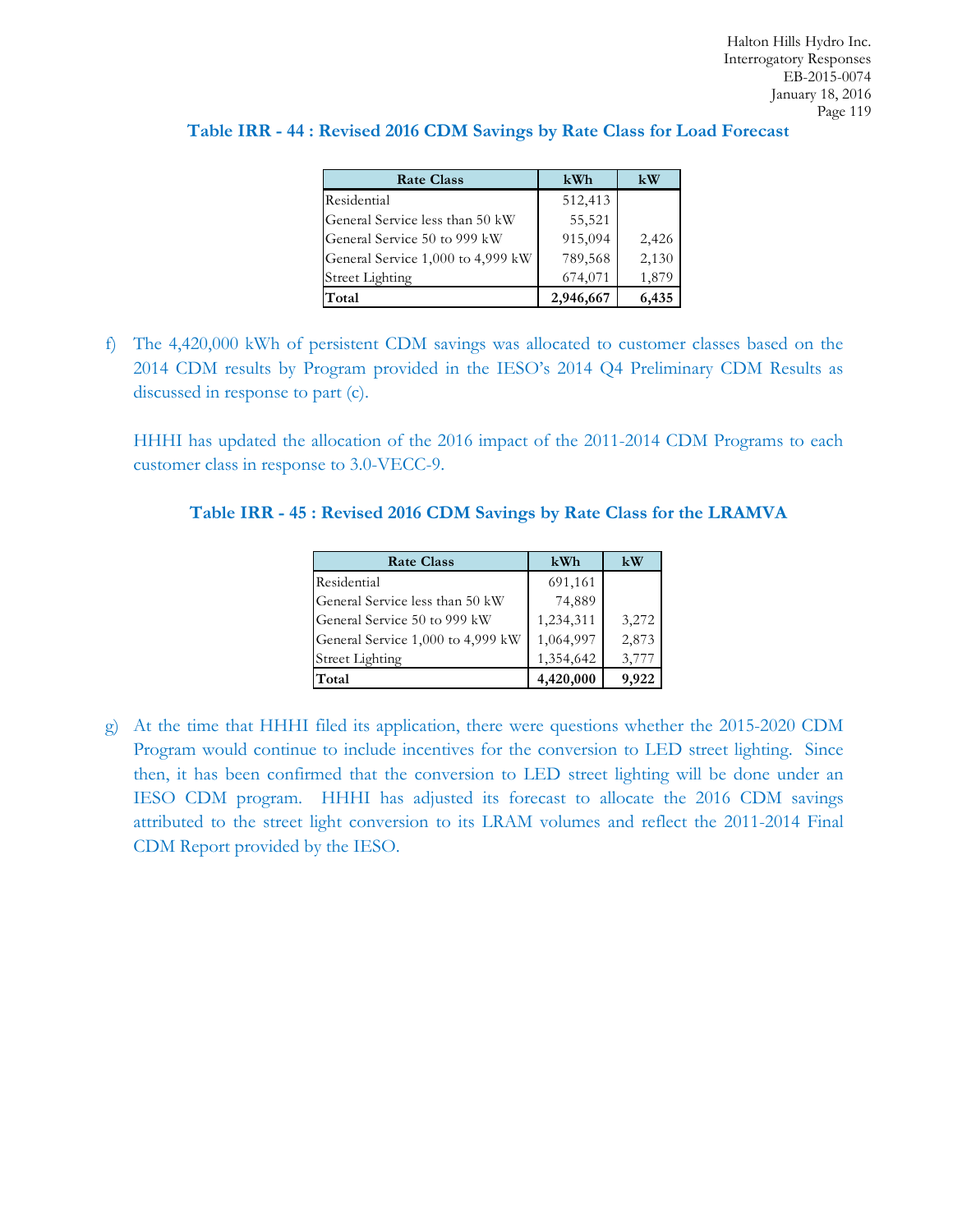| Table IRR - 44 : Revised 2016 CDM Savings by Rate Class for Load Forecast |  |  |  |  |  |
|---------------------------------------------------------------------------|--|--|--|--|--|
|---------------------------------------------------------------------------|--|--|--|--|--|

| <b>Rate Class</b>                 | kWh       | kW    |
|-----------------------------------|-----------|-------|
| Residential                       | 512,413   |       |
| General Service less than 50 kW   | 55,521    |       |
| General Service 50 to 999 kW      | 915,094   | 2,426 |
| General Service 1,000 to 4,999 kW | 789,568   | 2,130 |
| <b>Street Lighting</b>            | 674,071   | 1,879 |
| Total                             | 2,946,667 | 6,435 |

f) The 4,420,000 kWh of persistent CDM savings was allocated to customer classes based on the 2014 CDM results by Program provided in the IESO's 2014 Q4 Preliminary CDM Results as discussed in response to part (c).

HHHI has updated the allocation of the 2016 impact of the 2011-2014 CDM Programs to each customer class in response to 3.0-VECC-9.

**Table IRR - 45 : Revised 2016 CDM Savings by Rate Class for the LRAMVA**

| <b>Rate Class</b>                 | kWh       | kW    |
|-----------------------------------|-----------|-------|
| Residential                       | 691,161   |       |
| General Service less than 50 kW   | 74,889    |       |
| General Service 50 to 999 kW      | 1,234,311 | 3,272 |
| General Service 1,000 to 4,999 kW | 1,064,997 | 2,873 |
| <b>Street Lighting</b>            | 1,354,642 | 3,777 |
| Total                             | 4,420,000 | 9.922 |

g) At the time that HHHI filed its application, there were questions whether the 2015-2020 CDM Program would continue to include incentives for the conversion to LED street lighting. Since then, it has been confirmed that the conversion to LED street lighting will be done under an IESO CDM program. HHHI has adjusted its forecast to allocate the 2016 CDM savings attributed to the street light conversion to its LRAM volumes and reflect the 2011-2014 Final CDM Report provided by the IESO.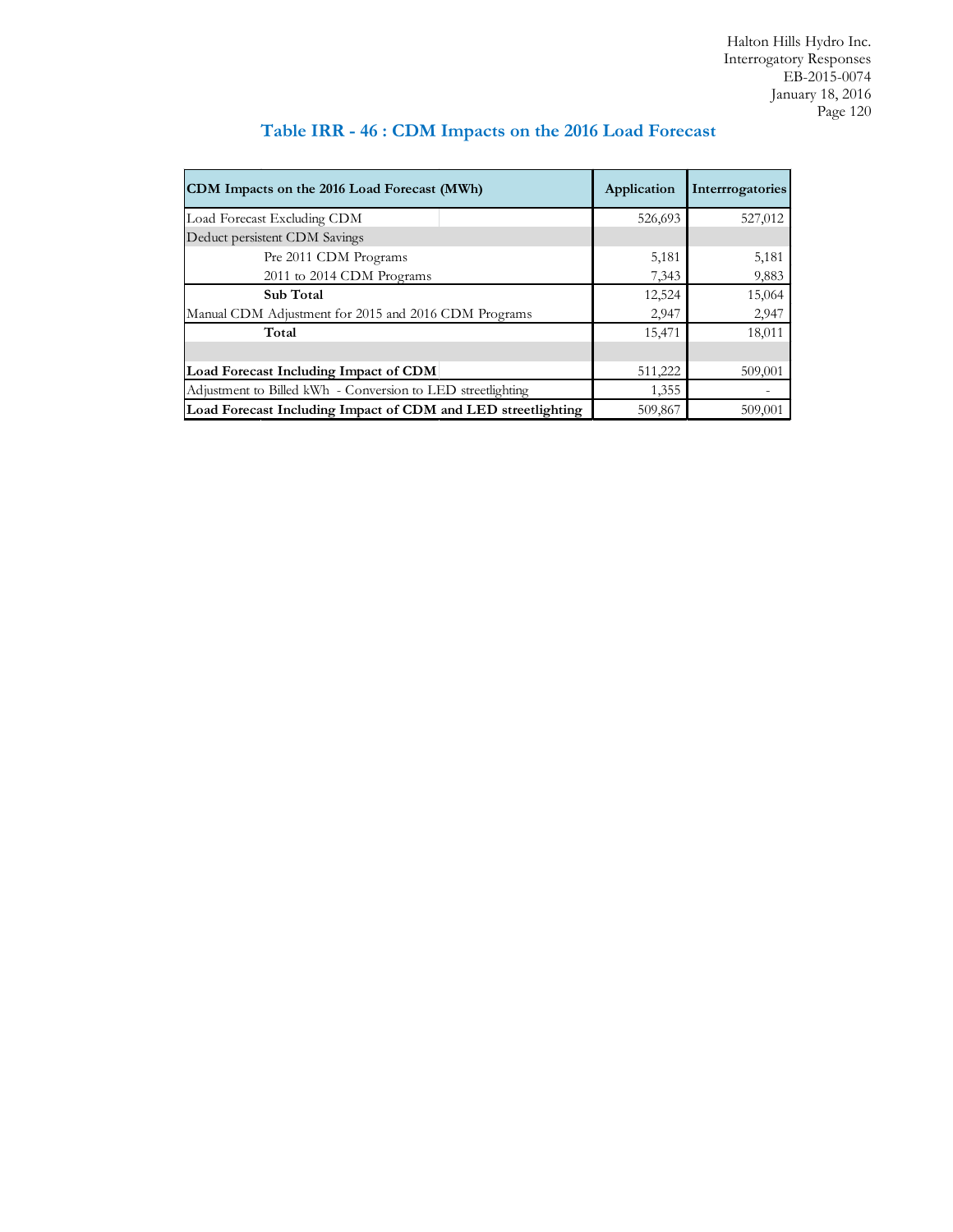| CDM Impacts on the 2016 Load Forecast (MWh)                  | Application | Interrogatories |
|--------------------------------------------------------------|-------------|-----------------|
| Load Forecast Excluding CDM                                  | 526,693     | 527,012         |
| Deduct persistent CDM Savings                                |             |                 |
| Pre 2011 CDM Programs                                        | 5,181       | 5,181           |
| 2011 to 2014 CDM Programs                                    | 7,343       | 9,883           |
| <b>Sub</b> Total                                             | 12,524      | 15,064          |
| Manual CDM Adjustment for 2015 and 2016 CDM Programs         | 2,947       | 2,947           |
| Total                                                        | 15,471      | 18,011          |
|                                                              |             |                 |
| Load Forecast Including Impact of CDM                        | 511,222     | 509,001         |
| Adjustment to Billed kWh - Conversion to LED streetlighting  | 1,355       |                 |
| Load Forecast Including Impact of CDM and LED streetlighting | 509,867     | 509,001         |

# **Table IRR - 46 : CDM Impacts on the 2016 Load Forecast**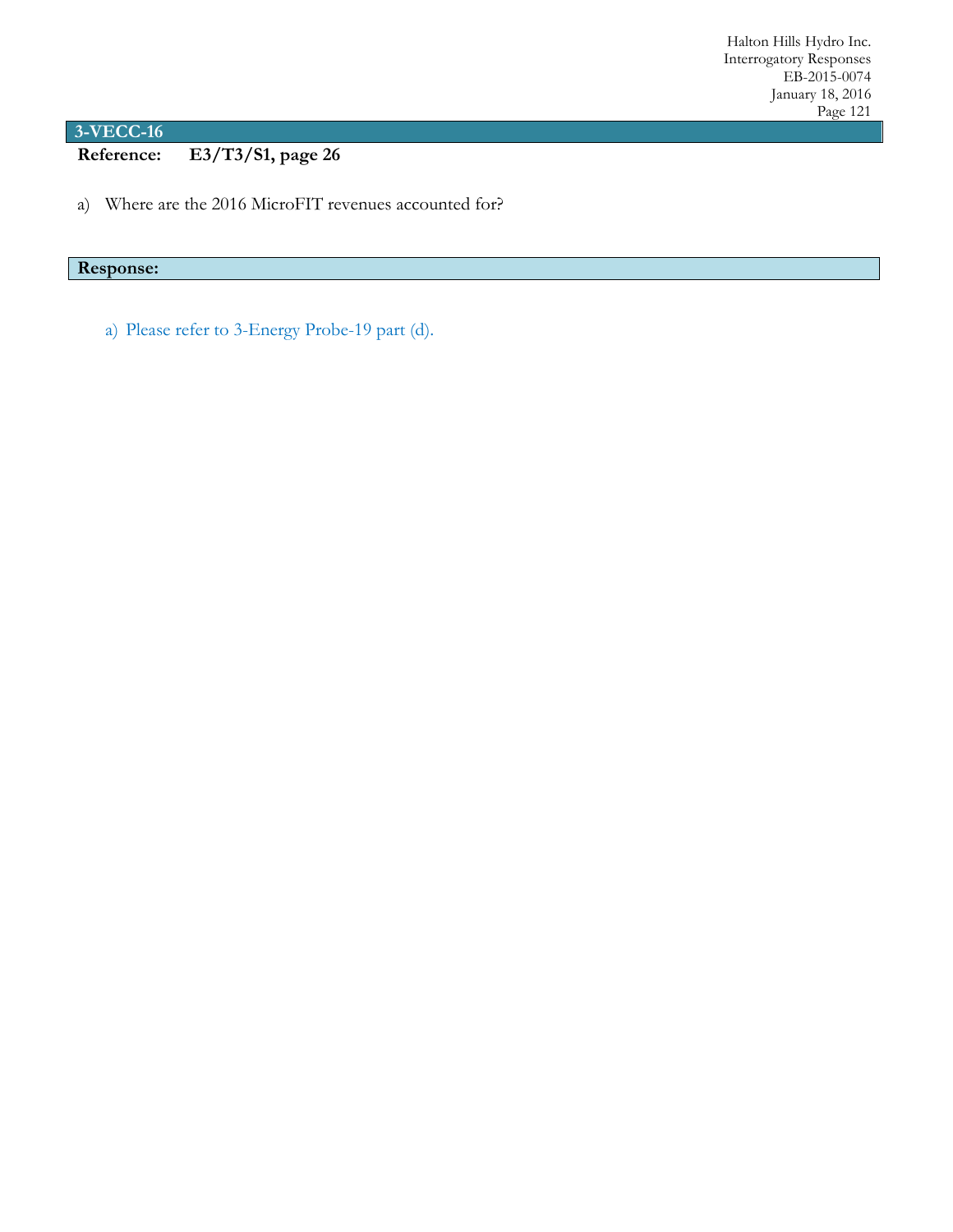**Reference: E3/T3/S1, page 26**

a) Where are the 2016 MicroFIT revenues accounted for?

## **Response:**

a) Please refer to 3-Energy Probe-19 part (d).